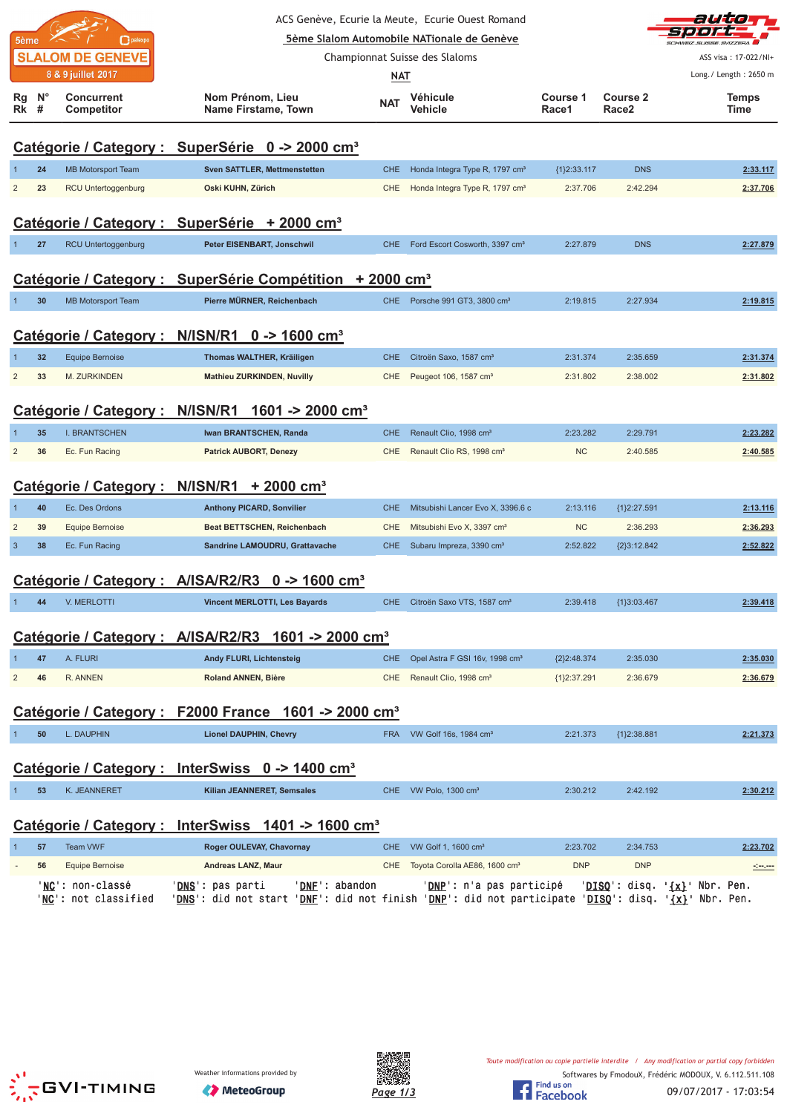|                |                  |                                 |                                                                      |            | ACS Genève, Ecurie la Meute, Ecurie Ouest Romand |                   |                          | auto                                            |
|----------------|------------------|---------------------------------|----------------------------------------------------------------------|------------|--------------------------------------------------|-------------------|--------------------------|-------------------------------------------------|
|                | 5ème             | palexpo                         |                                                                      |            | 5ème Slalom Automobile NATionale de Genève       |                   |                          | CHWEIZ SUISSE SVIZZEDA                          |
|                |                  | <b>SLALOM DE GENEVE</b>         |                                                                      |            | Championnat Suisse des Slaloms                   |                   |                          | ASS visa: 17-022/NI+                            |
|                |                  | 8 & 9 juillet 2017              |                                                                      | <b>NAT</b> |                                                  |                   |                          | Long./ Length: 2650 m                           |
| Rg<br>Rk       | $N^{\circ}$<br># | <b>Concurrent</b><br>Competitor | Nom Prénom, Lieu<br>Name Firstame, Town                              | <b>NAT</b> | Véhicule<br>Vehicle                              | Course 1<br>Race1 | <b>Course 2</b><br>Race2 | <b>Temps</b><br>Time                            |
|                |                  |                                 | Catégorie / Category : SuperSérie 0 -> 2000 cm <sup>3</sup>          |            |                                                  |                   |                          |                                                 |
|                | 24               | <b>MB Motorsport Team</b>       | <b>Sven SATTLER, Mettmenstetten</b>                                  | <b>CHE</b> | Honda Integra Type R, 1797 cm <sup>3</sup>       | ${1}2:33.117$     | <b>DNS</b>               | 2:33.117                                        |
| $\overline{2}$ | 23               | RCU Untertoggenburg             | Oski KUHN, Zürich                                                    | CHE        | Honda Integra Type R, 1797 cm <sup>3</sup>       | 2:37.706          | 2:42.294                 | 2:37.706                                        |
|                |                  |                                 | Catégorie / Category : SuperSérie + 2000 cm <sup>3</sup>             |            |                                                  |                   |                          |                                                 |
| $\mathbf{1}$   | 27               | RCU Untertoggenburg             | Peter EISENBART, Jonschwil                                           | CHE.       | Ford Escort Cosworth, 3397 cm <sup>3</sup>       | 2:27.879          | <b>DNS</b>               | 2:27.879                                        |
|                |                  |                                 | Catégorie / Category : SuperSérie Compétition + 2000 cm <sup>3</sup> |            |                                                  |                   |                          |                                                 |
|                | 30               | <b>MB Motorsport Team</b>       | Pierre MÜRNER, Reichenbach                                           | CHE        | Porsche 991 GT3, 3800 cm <sup>3</sup>            | 2:19.815          | 2:27.934                 | 2:19.815                                        |
|                |                  | Catégorie / Category :          | N/ISN/R1 $0 \rightarrow 1600 \text{ cm}^3$                           |            |                                                  |                   |                          |                                                 |
|                | 32               | <b>Equipe Bernoise</b>          | Thomas WALTHER, Kräiligen                                            | <b>CHE</b> | Citroën Saxo, 1587 cm <sup>3</sup>               | 2:31.374          | 2:35.659                 | 2:31.374                                        |
| $\overline{2}$ | 33               | M. ZURKINDEN                    | <b>Mathieu ZURKINDEN, Nuvilly</b>                                    | CHE        | Peugeot 106, 1587 cm <sup>3</sup>                | 2:31.802          | 2:38.002                 | 2:31.802                                        |
|                |                  | Catégorie / Category :          | N/ISN/R1<br>1601 -> 2000 cm <sup>3</sup>                             |            |                                                  |                   |                          |                                                 |
|                | 35               | I. BRANTSCHEN                   | Iwan BRANTSCHEN, Randa                                               | <b>CHE</b> | Renault Clio, 1998 cm <sup>3</sup>               | 2:23.282          | 2:29.791                 | 2:23.282                                        |
| $\overline{c}$ | 36               | Ec. Fun Racing                  | <b>Patrick AUBORT, Denezy</b>                                        | <b>CHE</b> | Renault Clio RS, 1998 cm <sup>3</sup>            | <b>NC</b>         | 2:40.585                 | 2:40.585                                        |
|                |                  |                                 | Catégorie / Category : N/ISN/R1 + 2000 cm <sup>3</sup>               |            |                                                  |                   |                          |                                                 |
|                | 40               | Ec. Des Ordons                  | <b>Anthony PICARD, Sonvilier</b>                                     | <b>CHE</b> | Mitsubishi Lancer Evo X, 3396.6 c                | 2:13.116          | ${1}2:27.591$            | 2:13.116                                        |
| 2              | 39               | <b>Equipe Bernoise</b>          | Beat BETTSCHEN, Reichenbach                                          | <b>CHE</b> | Mitsubishi Evo X, 3397 cm <sup>3</sup>           | <b>NC</b>         | 2:36.293                 | 2:36.293                                        |
| $\mathbf{3}$   | 38               | Ec. Fun Racing                  | Sandrine LAMOUDRU, Grattavache                                       | CHE        | Subaru Impreza, 3390 cm <sup>3</sup>             | 2:52.822          | ${2}3:12.842$            | 2:52.822                                        |
|                |                  |                                 | Catégorie / Category : A/ISA/R2/R3 0 -> 1600 cm <sup>3</sup>         |            |                                                  |                   |                          |                                                 |
|                | 44               | V. MERLOTTI                     | <b>Vincent MERLOTTI, Les Bayards</b>                                 |            | CHE Citroën Saxo VTS, 1587 cm <sup>3</sup>       | 2:39.418          | ${1}3:03.467$            | 2:39.418                                        |
|                |                  |                                 | Catégorie / Category : A/ISA/R2/R3 1601 -> 2000 cm <sup>3</sup>      |            |                                                  |                   |                          |                                                 |
|                | 47               | A. FLURI                        | Andy FLURI, Lichtensteig                                             | <b>CHE</b> | Opel Astra F GSI 16v, 1998 cm <sup>3</sup>       | ${2}2:48.374$     | 2:35.030                 | 2:35.030                                        |
| $\overline{c}$ | 46               | R. ANNEN                        | <b>Roland ANNEN, Bière</b>                                           | CHE        | Renault Clio, 1998 cm <sup>3</sup>               | ${1}2:37.291$     | 2:36.679                 | 2:36.679                                        |
|                |                  |                                 | Catégorie / Category : F2000 France 1601 -> 2000 cm <sup>3</sup>     |            |                                                  |                   |                          |                                                 |
|                | 50               | L. DAUPHIN                      | <b>Lionel DAUPHIN, Chevry</b>                                        | <b>FRA</b> | VW Golf 16s, 1984 cm <sup>3</sup>                | 2:21.373          | ${1}2:38.881$            | 2:21.373                                        |
|                |                  |                                 | Catégorie / Category : InterSwiss 0 -> 1400 cm <sup>3</sup>          |            |                                                  |                   |                          |                                                 |
| 1              | 53               | K. JEANNERET                    | Kilian JEANNERET, Semsales                                           | CHE.       | VW Polo, 1300 cm <sup>3</sup>                    | 2:30.212          | 2:42.192                 | 2:30.212                                        |
|                |                  |                                 | Catégorie / Category : InterSwiss 1401 -> 1600 cm <sup>3</sup>       |            |                                                  |                   |                          |                                                 |
|                | 57               | <b>Team VWF</b>                 | Roger OULEVAY, Chavornay                                             | <b>CHE</b> | VW Golf 1, 1600 cm <sup>3</sup>                  | 2:23.702          | 2:34.753                 | 2:23.702                                        |
|                | 56               | <b>Equipe Bernoise</b>          | Andreas LANZ, Maur                                                   | CHE        | Toyota Corolla AE86, 1600 cm <sup>3</sup>        | <b>DNP</b>        | <b>DNP</b>               |                                                 |
|                |                  | 'NC': non-classé                | ' <u>DNS</u> ': pas parti<br>'DNE': abandon                          |            | ' <u>DNP</u> ': n'a pas participé                |                   |                          | ' <u>DISQ</u> ': disq. ' <u>{x}</u> ' Nbr. Pen. |





'<u>NC</u>': not classified '<u>DNS</u>': did not start '<u>DNF</u>': did not finish '<u>DNP</u>': did not participate '<u>DISQ</u>': disq. '<u>{x}</u>' Nbr. Pen.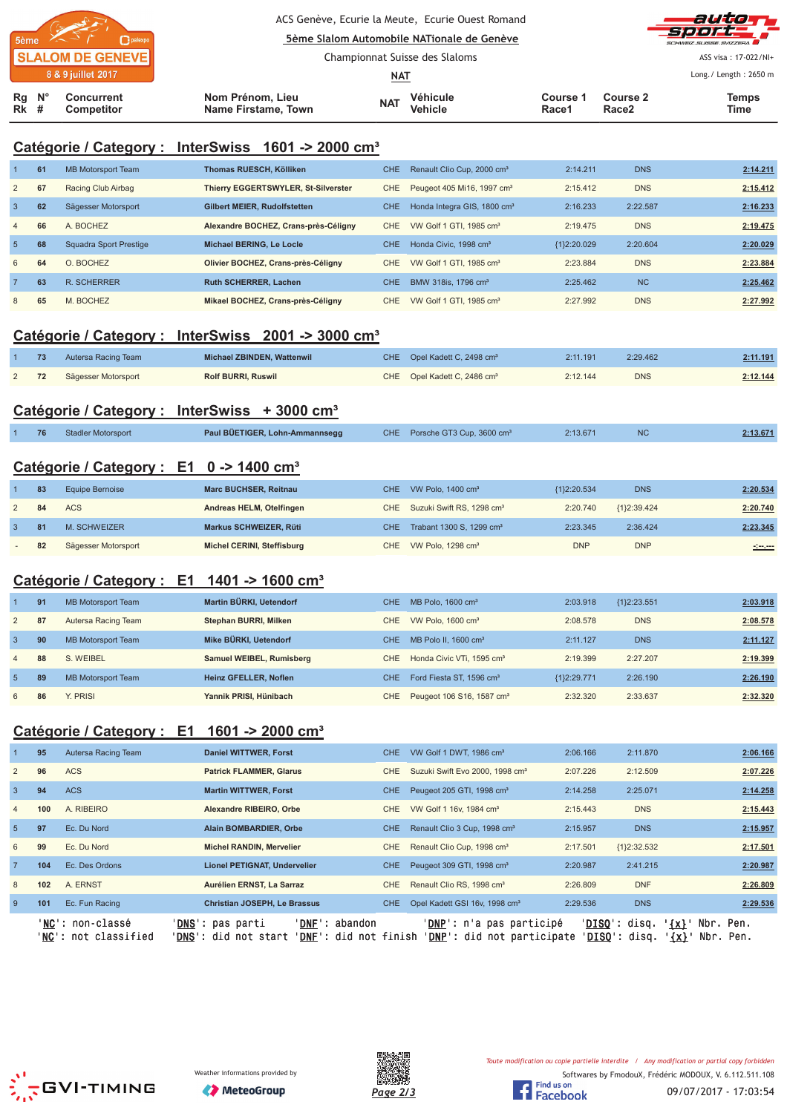|                         |                  |                                        |                                         |            | ACS Genève, Ecurie la Meute, Ecurie Ouest Romand<br>5ème Slalom Automobile NATionale de Genève |                        |                               | auto T<br>-Sport<br>SCHWEIZ SUISSE SVIZZEDA |
|-------------------------|------------------|----------------------------------------|-----------------------------------------|------------|------------------------------------------------------------------------------------------------|------------------------|-------------------------------|---------------------------------------------|
| <b>SLALOM DE GENEVE</b> |                  |                                        |                                         |            | Championnat Suisse des Slaloms                                                                 |                        |                               | ASS visa: 17-022/NI+                        |
|                         |                  | 8 & 9 juillet 2017                     |                                         | <u>NAT</u> |                                                                                                |                        |                               | Long./ Length: 2650 m                       |
| <b>Rk</b> #             | $Rg$ $N^{\circ}$ | <b>Concurrent</b><br><b>Competitor</b> | Nom Prénom, Lieu<br>Name Firstame, Town | <b>NAT</b> | Véhicule<br><b>Vehicle</b>                                                                     | <b>Course</b><br>Race1 | Course 2<br>Race <sub>2</sub> | <b>Temps</b><br>Time                        |

# **Catégorie / Category : InterSwiss 1601 -> 2000 cm³**

|                 | 61 | MB Motorsport Team     | Thomas RUESCH, Kölliken              | CHE. | Renault Clio Cup. 2000 cm <sup>3</sup>  | 2:14.211    | <b>DNS</b> | 2:14.211 |
|-----------------|----|------------------------|--------------------------------------|------|-----------------------------------------|-------------|------------|----------|
| $\overline{2}$  | 67 | Racing Club Airbag     | Thierry EGGERTSWYLER, St-Silverster  | CHE. | Peugeot 405 Mi16, 1997 cm <sup>3</sup>  | 2:15.412    | <b>DNS</b> | 2:15.412 |
| 3               | 62 | Sägesser Motorsport    | <b>Gilbert MEIER, Rudolfstetten</b>  | CHE. | Honda Integra GIS, 1800 cm <sup>3</sup> | 2:16.233    | 2:22.587   | 2:16.233 |
| $\overline{4}$  | 66 | A. BOCHEZ              | Alexandre BOCHEZ, Crans-près-Céligny | CHE. | VW Golf 1 GTI, 1985 cm <sup>3</sup>     | 2:19.475    | <b>DNS</b> | 2:19.475 |
| $5\overline{5}$ | 68 | Squadra Sport Prestige | Michael BERING, Le Locle             | CHE. | Honda Civic. 1998 cm <sup>3</sup>       | {1}2:20.029 | 2:20.604   | 2:20.029 |
| 6               | 64 | O. BOCHEZ              | Olivier BOCHEZ, Crans-près-Céligny   | CHE. | VW Golf 1 GTI, 1985 cm <sup>3</sup>     | 2:23.884    | <b>DNS</b> | 2:23.884 |
|                 | 63 | <b>R. SCHERRER</b>     | <b>Ruth SCHERRER, Lachen</b>         | CHE. | BMW 318is, 1796 cm <sup>3</sup>         | 2:25.462    | <b>NC</b>  | 2:25.462 |
| 8               | 65 | M. BOCHEZ              | Mikael BOCHEZ, Crans-près-Céligny    | CHE. | VW Golf 1 GTI, 1985 cm <sup>3</sup>     | 2:27.992    | <b>DNS</b> | 2:27.992 |

# **Catégorie / Category : InterSwiss 2001 -> 3000 cm³**

| 73 | Autersa Racing Team | Michael ZBINDEN, Wattenwil | CHE Opel Kadett C. 2498 cm <sup>3</sup> | 2:11.191 | 2:29.462   | 2:11.191 |
|----|---------------------|----------------------------|-----------------------------------------|----------|------------|----------|
| 72 | Sägesser Motorsport | <b>Rolf BURRI, Ruswil</b>  | CHE Opel Kadett C, 2486 cm <sup>3</sup> | 2:12.144 | <b>DNS</b> | 2:12.144 |

# **Catégorie / Category : InterSwiss + 3000 cm³**

| 76 | <b>Stadler Motorsport</b> | Paul BÜETIGER, Lohn-Ammannsegg | CHE Porsche GT3 Cup, 3600 cm <sup>3</sup> | 2:13.671 | 2:13.671 |
|----|---------------------------|--------------------------------|-------------------------------------------|----------|----------|
|    |                           |                                |                                           |          |          |

### **Catégorie / Category : E1 0 -> 1400 cm³**

| 83 | Equipe Bernoise     | <b>Marc BUCHSER, Reitnau</b> | CHE VW Polo, 1400 cm <sup>3</sup>         | {1}2:20.534 | <b>DNS</b>    | 2:20.534                                                                                                             |
|----|---------------------|------------------------------|-------------------------------------------|-------------|---------------|----------------------------------------------------------------------------------------------------------------------|
| 84 | <b>ACS</b>          | Andreas HELM, Otelfingen     | CHE Suzuki Swift RS, 1298 cm <sup>3</sup> | 2:20.740    | ${1}2:39.424$ | 2:20.740                                                                                                             |
| 81 | M. SCHWEIZER        | Markus SCHWEIZER, Rüti       | CHE Trabant 1300 S, 1299 cm <sup>3</sup>  | 2:23.345    | 2:36.424      | 2:23.345                                                                                                             |
| 82 | Sägesser Motorsport | Michel CERINI, Steffisburg   | CHE VW Polo, 1298 cm <sup>3</sup>         | <b>DNP</b>  | <b>DNP</b>    | <u> 1990 - 1991 - 1992 - 1993 - 1994 - 1994 - 1994 - 1994 - 1994 - 1994 - 1994 - 1994 - 1994 - 1994 - 1994 - 199</u> |

### **Catégorie / Category : E1 1401 -> 1600 cm³**

|                | 91 | <b>MB Motorsport Team</b> | Martin BÜRKI, Uetendorf      | CHE. | MB Polo, $1600 \text{ cm}^3$          | 2:03.918      | ${1}2:23.551$ | 2:03.918 |
|----------------|----|---------------------------|------------------------------|------|---------------------------------------|---------------|---------------|----------|
| $\sqrt{2}$     | 87 | Autersa Racing Team       | Stephan BURRI, Milken        | CHE  | VW Polo, $1600 \text{ cm}^3$          | 2:08.578      | <b>DNS</b>    | 2:08.578 |
| -3             | 90 | <b>MB Motorsport Team</b> | Mike BÜRKI, Uetendorf        | CHE. | MB Polo II. $1600 \text{ cm}^3$       | 2:11.127      | <b>DNS</b>    | 2:11.127 |
| $\overline{4}$ | 88 | S. WEIBEL                 | Samuel WEIBEL, Rumisberg     | CHE  | Honda Civic VTi, 1595 cm <sup>3</sup> | 2:19.399      | 2:27.207      | 2:19.399 |
| -5             | 89 | <b>MB Motorsport Team</b> | <b>Heinz GFELLER, Noflen</b> | CHE. | Ford Fiesta ST, 1596 cm <sup>3</sup>  | ${1}2:29.771$ | 2:26.190      | 2:26.190 |
| 6              | 86 | Y. PRISI                  | Yannik PRISI, Hünibach       | CHE. | Peugeot 106 S16, 1587 cm <sup>3</sup> | 2:32.320      | 2:33.637      | 2:32.320 |

### **Catégorie / Category : E1 1601 -> 2000 cm³**

|                 | 95  | Autersa Racing Team                      | <b>Daniel WITTWER, Forst</b>                                                                                   | <b>CHE</b> | VW Golf 1 DWT, 1986 cm <sup>3</sup>                                      | 2:06.166 | 2:11.870                                              | 2:06.166               |
|-----------------|-----|------------------------------------------|----------------------------------------------------------------------------------------------------------------|------------|--------------------------------------------------------------------------|----------|-------------------------------------------------------|------------------------|
| 2               | 96  | <b>ACS</b>                               | <b>Patrick FLAMMER, Glarus</b>                                                                                 | CHE.       | Suzuki Swift Evo 2000, 1998 cm <sup>3</sup>                              | 2:07.226 | 2:12.509                                              | 2:07.226               |
| $\mathbf{3}$    | 94  | <b>ACS</b>                               | <b>Martin WITTWER, Forst</b>                                                                                   | <b>CHE</b> | Peugeot 205 GTI, 1998 cm <sup>3</sup>                                    | 2:14.258 | 2:25.071                                              | 2:14.258               |
| $\overline{4}$  | 100 | A. RIBEIRO                               | Alexandre RIBEIRO, Orbe                                                                                        | CHE.       | VW Golf 1 16v, 1984 cm <sup>3</sup>                                      | 2:15.443 | <b>DNS</b>                                            | 2:15.443               |
| $5\overline{5}$ | 97  | Ec. Du Nord                              | Alain BOMBARDIER, Orbe                                                                                         | <b>CHE</b> | Renault Clio 3 Cup, 1998 cm <sup>3</sup>                                 | 2:15.957 | <b>DNS</b>                                            | 2:15.957               |
| 6               | 99  | Ec. Du Nord                              | <b>Michel RANDIN, Mervelier</b>                                                                                | <b>CHE</b> | Renault Clio Cup, 1998 cm <sup>3</sup>                                   | 2:17.501 | ${1}2:32.532$                                         | 2:17.501               |
| $\overline{7}$  | 104 | Ec. Des Ordons                           | <b>Lionel PETIGNAT, Undervelier</b>                                                                            | <b>CHE</b> | Peugeot 309 GTI, 1998 cm <sup>3</sup>                                    | 2:20.987 | 2:41.215                                              | 2:20.987               |
| 8               | 102 | A. ERNST                                 | Aurélien ERNST, La Sarraz                                                                                      | CHE        | Renault Clio RS, 1998 cm <sup>3</sup>                                    | 2:26.809 | <b>DNF</b>                                            | 2:26.809               |
| 9               | 101 | Ec. Fun Racing                           | <b>Christian JOSEPH, Le Brassus</b>                                                                            | <b>CHE</b> | Opel Kadett GSI 16v, 1998 cm <sup>3</sup>                                | 2:29.536 | <b>DNS</b>                                            | 2:29.536               |
|                 |     | 'NC': non-classé<br>'NC': not classified | ' <b>DNS</b> ': pas parti<br>'DNF': abandon<br>' <b>DNS</b> ': did not start<br>' <b>DNF</b> ': did not finish |            | ' <b>DNP</b> ': n'a pas participé<br>' <b>DNP</b> ': did not participate | 'DISO':  | ' <b>DISO</b> ': disq.<br>' {x} '<br>$\{x\}$<br>disq. | Nbr. Pen.<br>Nbr. Pen. |





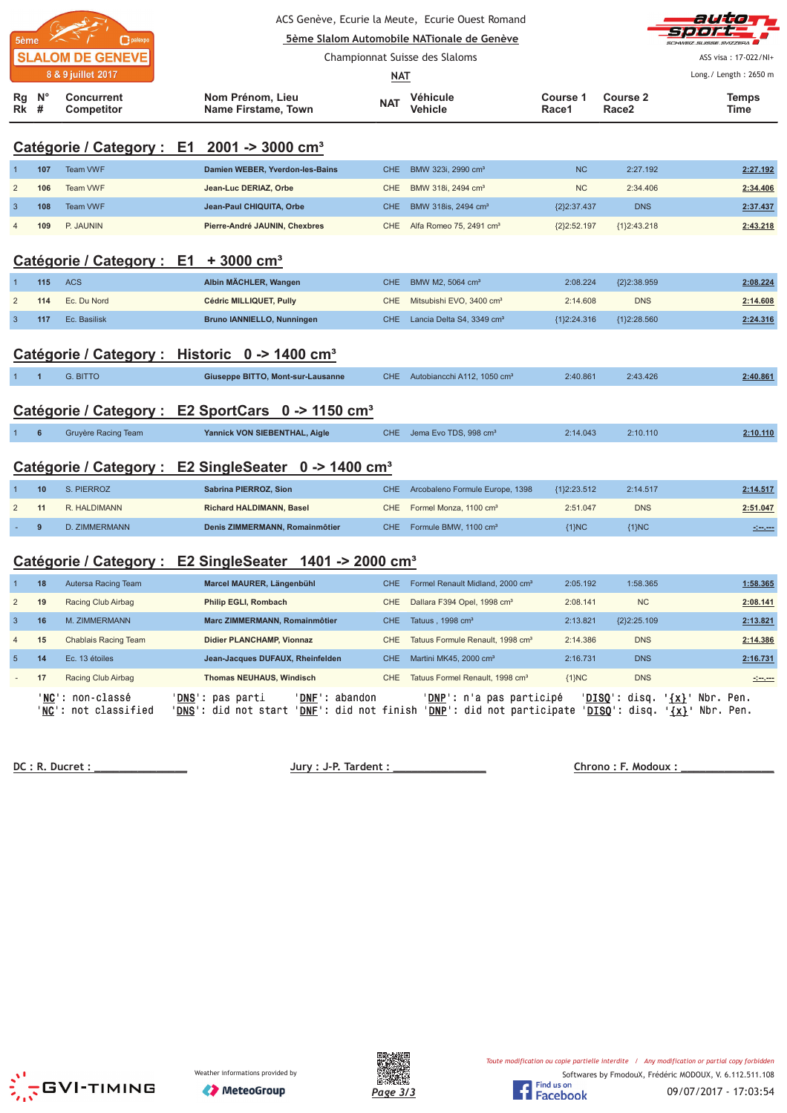| 5ème                                                      |                  | palexpo                                          |  |                                                                     |            | ACS Genève, Ecurie la Meute, Ecurie Ouest Romand<br>5ème Slalom Automobile NATionale de Genève |                   |                   |                                                                                                                                                                                                                                      |
|-----------------------------------------------------------|------------------|--------------------------------------------------|--|---------------------------------------------------------------------|------------|------------------------------------------------------------------------------------------------|-------------------|-------------------|--------------------------------------------------------------------------------------------------------------------------------------------------------------------------------------------------------------------------------------|
|                                                           |                  | <b>SLALOM DE GENEVE</b><br>8 & 9 juillet 2017    |  |                                                                     |            | Championnat Suisse des Slaloms                                                                 |                   |                   | ASS visa: 17-022/NI+                                                                                                                                                                                                                 |
|                                                           |                  |                                                  |  |                                                                     | NAT        |                                                                                                |                   |                   | Long./ Length: 2650 m                                                                                                                                                                                                                |
| Rg<br>Rk                                                  | $N^{\circ}$<br># | <b>Concurrent</b><br>Competitor                  |  | Nom Prénom, Lieu<br>Name Firstame, Town                             | <b>NAT</b> | Véhicule<br><b>Vehicle</b>                                                                     | Course 1<br>Race1 | Course 2<br>Race2 | <b>Temps</b><br>Time                                                                                                                                                                                                                 |
|                                                           |                  |                                                  |  | Catégorie / Category : E1 2001 -> 3000 cm <sup>3</sup>              |            |                                                                                                |                   |                   |                                                                                                                                                                                                                                      |
|                                                           | 107              | Team VWF                                         |  | Damien WEBER, Yverdon-les-Bains                                     | <b>CHE</b> | BMW 323i, 2990 cm <sup>3</sup>                                                                 | <b>NC</b>         | 2:27.192          | 2:27.192                                                                                                                                                                                                                             |
| $\overline{c}$                                            | 106              | Team VWF                                         |  | Jean-Luc DERIAZ, Orbe                                               | <b>CHE</b> | BMW 318i, 2494 cm <sup>3</sup>                                                                 | <b>NC</b>         | 2:34.406          | 2:34.406                                                                                                                                                                                                                             |
| $\sqrt{3}$                                                | 108              | <b>Team VWF</b>                                  |  | Jean-Paul CHIQUITA, Orbe                                            | <b>CHE</b> | BMW 318is, 2494 cm <sup>3</sup>                                                                | ${2}2:37.437$     | <b>DNS</b>        | 2:37.437                                                                                                                                                                                                                             |
| $\overline{4}$                                            | 109              | P. JAUNIN                                        |  | Pierre-André JAUNIN, Chexbres                                       | <b>CHE</b> | Alfa Romeo 75, 2491 cm <sup>3</sup>                                                            | ${2}2:52.197$     | ${1}2:43.218$     | 2:43.218                                                                                                                                                                                                                             |
|                                                           |                  | Catégorie / Category : E1 + 3000 cm <sup>3</sup> |  |                                                                     |            |                                                                                                |                   |                   |                                                                                                                                                                                                                                      |
| $\mathbf{1}$                                              | 115              | <b>ACS</b>                                       |  | Albin MÄCHLER, Wangen                                               | <b>CHE</b> | BMW M2, 5064 cm <sup>3</sup>                                                                   | 2:08.224          | {2}2:38.959       | 2:08.224                                                                                                                                                                                                                             |
| $\overline{2}$                                            | 114              | Ec. Du Nord                                      |  | Cédric MILLIQUET, Pully                                             | <b>CHE</b> | Mitsubishi EVO, 3400 cm <sup>3</sup>                                                           | 2:14.608          | <b>DNS</b>        | 2:14.608                                                                                                                                                                                                                             |
| $\overline{3}$                                            | 117              | Ec. Basilisk                                     |  | <b>Bruno IANNIELLO, Nunningen</b>                                   | <b>CHE</b> | Lancia Delta S4, 3349 cm <sup>3</sup>                                                          | ${1}2:24.316$     | ${1}2:28.560$     | 2:24.316                                                                                                                                                                                                                             |
| Catégorie / Category : Historic 0 -> 1400 cm <sup>3</sup> |                  |                                                  |  |                                                                     |            |                                                                                                |                   |                   |                                                                                                                                                                                                                                      |
|                                                           | $\overline{1}$   | <b>G. BITTO</b>                                  |  | Giuseppe BITTO, Mont-sur-Lausanne                                   | <b>CHE</b> | Autobiancchi A112, 1050 cm <sup>3</sup>                                                        | 2:40.861          | 2:43.426          | 2:40.861                                                                                                                                                                                                                             |
|                                                           |                  |                                                  |  | Catégorie / Category : E2 SportCars 0 -> 1150 cm <sup>3</sup>       |            |                                                                                                |                   |                   |                                                                                                                                                                                                                                      |
| $\mathbf{1}$                                              | 6                | <b>Gruyère Racing Team</b>                       |  | Yannick VON SIEBENTHAL, Aigle                                       | <b>CHE</b> | Jema Evo TDS, 998 cm <sup>3</sup>                                                              | 2:14.043          | 2:10.110          | 2:10.110                                                                                                                                                                                                                             |
|                                                           |                  |                                                  |  | Catégorie / Category : E2 SingleSeater 0 -> 1400 cm <sup>3</sup>    |            |                                                                                                |                   |                   |                                                                                                                                                                                                                                      |
| $\mathbf{1}$                                              | 10               | S. PIERROZ                                       |  | Sabrina PIERROZ, Sion                                               | CHE        | Arcobaleno Formule Europe, 1398                                                                | ${1}2:23.512$     | 2:14.517          | 2:14.517                                                                                                                                                                                                                             |
| $\overline{2}$                                            | 11               | R. HALDIMANN                                     |  | Richard HALDIMANN, Basel                                            | <b>CHE</b> | Formel Monza, 1100 cm <sup>3</sup>                                                             | 2:51.047          | <b>DNS</b>        | 2:51.047                                                                                                                                                                                                                             |
|                                                           | 9                | D. ZIMMERMANN                                    |  | Denis ZIMMERMANN, Romainmôtier                                      | <b>CHE</b> | Formule BMW, 1100 cm <sup>3</sup>                                                              | ${1}NC$           | ${1}NC$           | <u> - 100 - 100 - 100 - 100 - 100 - 100 - 100 - 100 - 100 - 100 - 100 - 100 - 100 - 100 - 100 - 100 - 100 - 100 -</u>                                                                                                                |
|                                                           |                  |                                                  |  | Catégorie / Category : E2 SingleSeater 1401 -> 2000 cm <sup>3</sup> |            |                                                                                                |                   |                   |                                                                                                                                                                                                                                      |
| $\mathbf{1}$                                              | 18               | Autersa Racing Team                              |  | Marcel MAURER, Längenbühl                                           | CHE.       | Formel Renault Midland, 2000 cm <sup>3</sup>                                                   | 2:05.192          | 1:58.365          | 1:58.365                                                                                                                                                                                                                             |
| $\overline{c}$                                            | 19               | Racing Club Airbag                               |  | Philip EGLI, Rombach                                                | CHE        | Dallara F394 Opel, 1998 cm <sup>3</sup>                                                        | 2:08.141          | NC                | 2:08.141                                                                                                                                                                                                                             |
| $\sqrt{3}$                                                | 16               | M. ZIMMERMANN                                    |  | Marc ZIMMERMANN, Romainmôtier                                       | <b>CHE</b> | Tatuus, 1998 cm <sup>3</sup>                                                                   | 2:13.821          | ${2}2:25.109$     | 2:13.821                                                                                                                                                                                                                             |
| 4                                                         | 15               | Chablais Racing Team                             |  | Didier PLANCHAMP, Vionnaz                                           | CHE        | Tatuus Formule Renault, 1998 cm <sup>3</sup>                                                   | 2:14.386          | <b>DNS</b>        | 2:14.386                                                                                                                                                                                                                             |
| $\sqrt{5}$                                                | 14               | Ec. 13 étoiles                                   |  | Jean-Jacques DUFAUX, Rheinfelden                                    | CHE        | Martini MK45, 2000 cm <sup>3</sup>                                                             | 2:16.731          | <b>DNS</b>        | 2:16.731                                                                                                                                                                                                                             |
|                                                           | 17               | Racing Club Airbag                               |  | <b>Thomas NEUHAUS, Windisch</b>                                     | <b>CHE</b> | Tatuus Formel Renault, 1998 cm <sup>3</sup>                                                    | ${1}NC$           | <b>DNS</b>        | <u> - 100 - 100 - 100 - 100 - 100 - 100 - 100 - 100 - 100 - 100 - 100 - 100 - 100 - 100 - 100 - 100 - 100 - 100 - 100 - 100 - 100 - 100 - 100 - 100 - 100 - 100 - 100 - 100 - 100 - 100 - 100 - 100 - 100 - 100 - 100 - 100 - 10</u> |
|                                                           |                  | 'NC': non-classé                                 |  | ' <u>DNS</u> ': pas parti<br>'DNF': abandon                         |            | ' <u>DNP</u> ': n'a pas participé                                                              |                   |                   | 'DISQ': disq. '{x}' Nbr. Pen.                                                                                                                                                                                                        |

 **! "# \$**

'<u>NC</u>': not classified '<u>DNS</u>': did not start '<u>DNF</u>': did not finish '<u>DNP</u>': did not participate '<u>DISQ</u>': disq. '<u>{x}</u>' Nbr. Pen.



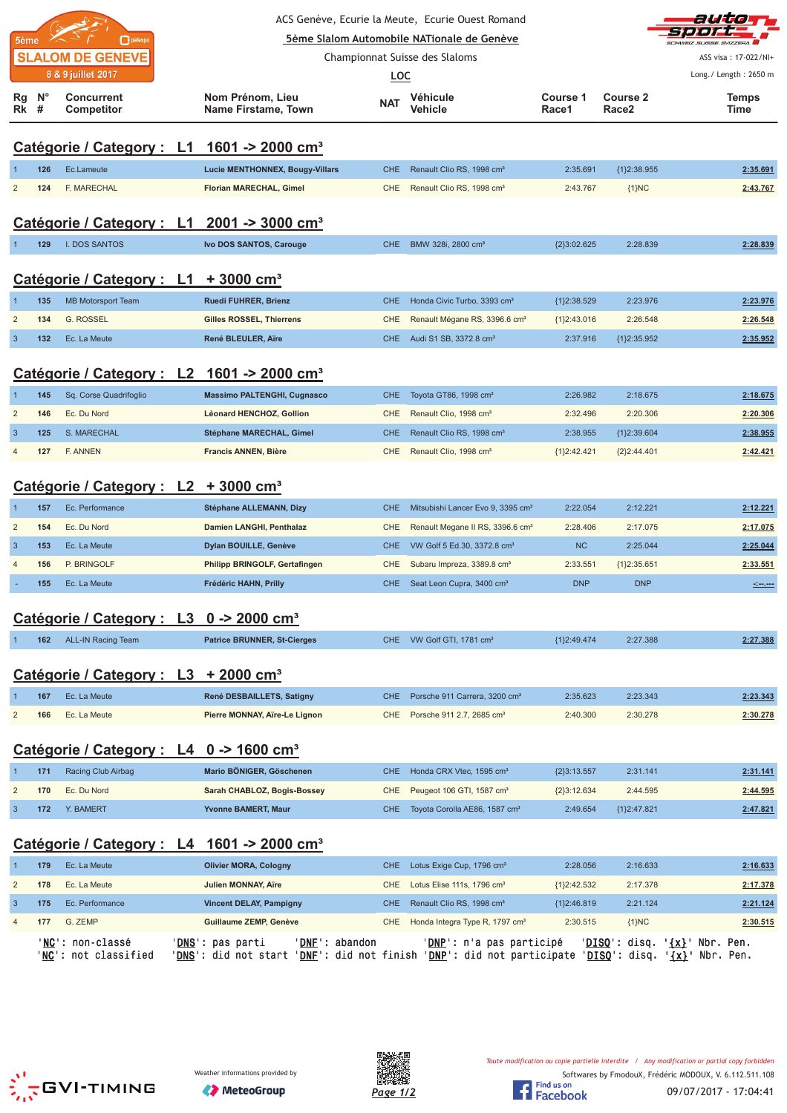|                                                               |                  |                                                     |  |                                                                                                                                                                                                 |            | ACS Genève, Ecurie la Meute, Ecurie Ouest Romand |                          |                        | auto                     |
|---------------------------------------------------------------|------------------|-----------------------------------------------------|--|-------------------------------------------------------------------------------------------------------------------------------------------------------------------------------------------------|------------|--------------------------------------------------|--------------------------|------------------------|--------------------------|
| 5ème Slalom Automobile NATionale de Genève<br>palexpo<br>5ème |                  |                                                     |  |                                                                                                                                                                                                 |            |                                                  |                          |                        |                          |
|                                                               |                  | <b>SLALOM DE GENEVE</b>                             |  |                                                                                                                                                                                                 |            | Championnat Suisse des Slaloms                   |                          |                        | ASS visa: 17-022/NI+     |
|                                                               |                  | 8 & 9 juillet 2017                                  |  |                                                                                                                                                                                                 | <b>LOC</b> |                                                  |                          |                        | Long./ Length: 2650 m    |
| Rg<br>Rk                                                      | $N^{\circ}$<br># | <b>Concurrent</b><br><b>Competitor</b>              |  | Nom Prénom, Lieu<br>Name Firstame, Town                                                                                                                                                         | <b>NAT</b> | Véhicule<br>Vehicle                              | <b>Course 1</b><br>Race1 | Course 2<br>Race2      | <b>Temps</b><br>Time     |
|                                                               |                  |                                                     |  |                                                                                                                                                                                                 |            |                                                  |                          |                        |                          |
|                                                               |                  |                                                     |  | Catégorie / Category : L1 1601 -> 2000 cm <sup>3</sup>                                                                                                                                          |            |                                                  |                          |                        |                          |
|                                                               | 126              | Ec.Lameute                                          |  | <b>Lucie MENTHONNEX, Bougy-Villars</b>                                                                                                                                                          | <b>CHE</b> | Renault Clio RS, 1998 cm <sup>3</sup>            | 2:35.691                 | {1}2:38.955            | 2:35.691                 |
| $\overline{2}$                                                | 124              | F. MARECHAL                                         |  | Florian MARECHAL, Gimel                                                                                                                                                                         | CHE        | Renault Clio RS, 1998 cm <sup>3</sup>            | 2:43.767                 | ${1}NC$                | 2:43.767                 |
|                                                               |                  |                                                     |  | Catégorie / Category : L1 2001 -> 3000 cm <sup>3</sup>                                                                                                                                          |            |                                                  |                          |                        |                          |
|                                                               | 129              | <b>I. DOS SANTOS</b>                                |  | Ivo DOS SANTOS, Carouge                                                                                                                                                                         | <b>CHE</b> | BMW 328i, 2800 cm <sup>3</sup>                   | ${2}3:02.625$            | 2:28.839               | 2:28.839                 |
|                                                               |                  | Catégorie / Category : L1                           |  | $+3000$ cm <sup>3</sup>                                                                                                                                                                         |            |                                                  |                          |                        |                          |
| $\mathbf 1$                                                   | 135              | <b>MB Motorsport Team</b>                           |  | Ruedi FUHRER, Brienz                                                                                                                                                                            | CHE        | Honda Civic Turbo, 3393 cm <sup>3</sup>          | {1}2:38.529              | 2:23.976               | 2:23.976                 |
| $\overline{2}$                                                | 134              | <b>G. ROSSEL</b>                                    |  | Gilles ROSSEL, Thierrens                                                                                                                                                                        | <b>CHE</b> | Renault Mégane RS, 3396.6 cm <sup>3</sup>        | ${1}2:43.016$            | 2:26.548               | 2:26.548                 |
| $\mathbf{3}$                                                  | 132              | Ec. La Meute                                        |  | René BLEULER, Aïre                                                                                                                                                                              | <b>CHE</b> | Audi S1 SB, 3372.8 cm <sup>3</sup>               | 2:37.916                 | ${1}2:35.952$          | 2:35.952                 |
|                                                               |                  |                                                     |  | Catégorie / Category : L2 1601 -> 2000 cm <sup>3</sup>                                                                                                                                          |            |                                                  |                          |                        |                          |
|                                                               | 145              | Sq. Corse Quadrifoglio                              |  | <b>Massimo PALTENGHI, Cugnasco</b>                                                                                                                                                              | CHE        | Toyota GT86, 1998 cm <sup>3</sup>                | 2:26.982                 | 2:18.675               | 2:18.675                 |
| $\overline{2}$                                                | 146              | Ec. Du Nord                                         |  | Léonard HENCHOZ, Gollion                                                                                                                                                                        | <b>CHE</b> | Renault Clio, 1998 cm <sup>3</sup>               | 2:32.496                 | 2:20.306               | 2:20.306                 |
| $\mathbf{3}$                                                  | 125              | S. MARECHAL                                         |  | Stéphane MARECHAL, Gimel                                                                                                                                                                        | <b>CHE</b> | Renault Clio RS, 1998 cm <sup>3</sup>            | 2:38.955                 | {1}2:39.604            | 2:38.955                 |
| $\overline{4}$                                                | 127              | F. ANNEN                                            |  | <b>Francis ANNEN, Bière</b>                                                                                                                                                                     | CHE.       | Renault Clio, 1998 cm <sup>3</sup>               | ${1}2:42.421$            | ${2}2:44.401$          | 2:42.421                 |
|                                                               |                  | Catégorie / Category : L2 + 3000 cm <sup>3</sup>    |  |                                                                                                                                                                                                 |            |                                                  |                          |                        |                          |
| $\mathbf 1$                                                   | 157              | Ec. Performance                                     |  | Stéphane ALLEMANN, Dizy                                                                                                                                                                         | <b>CHE</b> | Mitsubishi Lancer Evo 9, 3395 cm <sup>3</sup>    | 2:22.054                 | 2:12.221               | 2:12.221                 |
| $\overline{2}$                                                | 154              | Ec. Du Nord                                         |  | Damien LANGHI, Penthalaz                                                                                                                                                                        | <b>CHE</b> | Renault Megane II RS, 3396.6 cm <sup>3</sup>     | 2:28.406                 | 2:17.075               | 2:17.075                 |
| $\mathbf{3}$                                                  | 153              | Ec. La Meute                                        |  | Dylan BOUILLE, Genève                                                                                                                                                                           | <b>CHE</b> | VW Golf 5 Ed.30, 3372.8 cm <sup>3</sup>          | <b>NC</b>                | 2:25.044               | 2:25.044                 |
| $\overline{4}$                                                | 156              | P. BRINGOLF                                         |  | Philipp BRINGOLF, Gertafingen                                                                                                                                                                   | <b>CHE</b> | Subaru Impreza, 3389.8 cm <sup>3</sup>           | 2:33.551                 | ${1}2:35.651$          | 2:33.551                 |
|                                                               | 155              | Ec. La Meute                                        |  | Frédéric HAHN, Prilly                                                                                                                                                                           | CHE        | Seat Leon Cupra, 3400 cm <sup>3</sup>            | <b>DNP</b>               | <b>DNP</b>             |                          |
|                                                               |                  | Catégorie / Category : L3 0 -> 2000 cm <sup>3</sup> |  |                                                                                                                                                                                                 |            |                                                  |                          |                        |                          |
|                                                               | 162              | <b>ALL-IN Racing Team</b>                           |  | <b>Patrice BRUNNER, St-Cierges</b>                                                                                                                                                              |            | CHE VW Golf GTI, 1781 cm <sup>3</sup>            | ${1}2:49.474$            | 2:27.388               | 2:27.388                 |
|                                                               |                  | Catégorie / Category : L3 + 2000 cm <sup>3</sup>    |  |                                                                                                                                                                                                 |            |                                                  |                          |                        |                          |
|                                                               | 167              | Ec. La Meute                                        |  | René DESBAILLETS, Satigny                                                                                                                                                                       | CHE        | Porsche 911 Carrera, 3200 cm <sup>3</sup>        | 2:35.623                 | 2:23.343               | 2:23.343                 |
| $\overline{c}$                                                | 166              | Ec. La Meute                                        |  | Pierre MONNAY, Aïre-Le Lignon                                                                                                                                                                   | <b>CHE</b> | Porsche 911 2.7, 2685 cm <sup>3</sup>            | 2:40.300                 | 2:30.278               | 2:30.278                 |
|                                                               |                  | Catégorie / Category : L4 0 -> 1600 cm <sup>3</sup> |  |                                                                                                                                                                                                 |            |                                                  |                          |                        |                          |
|                                                               | 171              | Racing Club Airbag                                  |  | Mario BÖNIGER, Göschenen                                                                                                                                                                        | <b>CHE</b> | Honda CRX Vtec, 1595 cm <sup>3</sup>             | ${2}3:13.557$            | 2:31.141               | 2:31.141                 |
| $\overline{\mathbf{c}}$                                       | 170              | Ec. Du Nord                                         |  | Sarah CHABLOZ, Bogis-Bossey                                                                                                                                                                     | <b>CHE</b> | Peugeot 106 GTI, 1587 cm <sup>3</sup>            | ${2}3:12.634$            | 2:44.595               | 2:44.595                 |
| $\mathbf{3}$                                                  | 172              | Y. BAMERT                                           |  | Yvonne BAMERT, Maur                                                                                                                                                                             | <b>CHE</b> | Toyota Corolla AE86, 1587 cm <sup>3</sup>        | 2:49.654                 | {1}2:47.821            | 2:47.821                 |
|                                                               |                  |                                                     |  | Catégorie / Category : L4 1601 -> 2000 cm <sup>3</sup>                                                                                                                                          |            |                                                  |                          |                        |                          |
| -1                                                            | 179              | Ec. La Meute                                        |  | <b>Olivier MORA, Cologny</b>                                                                                                                                                                    | <b>CHE</b> | Lotus Exige Cup, 1796 cm <sup>3</sup>            | 2:28.056                 | 2:16.633               | 2:16.633                 |
| $\overline{\mathbf{c}}$                                       | 178              | Ec. La Meute                                        |  | <b>Julien MONNAY, Aïre</b>                                                                                                                                                                      | <b>CHE</b> | Lotus Elise 111s, 1796 cm <sup>3</sup>           | ${1}2:42.532$            | 2:17.378               | 2:17.378                 |
| $\mathbf{3}$                                                  | 175              | Ec. Performance                                     |  | <b>Vincent DELAY, Pampigny</b>                                                                                                                                                                  | CHE        | Renault Clio RS, 1998 cm <sup>3</sup>            | ${1}2:46.819$            | 2:21.124               | 2:21.124                 |
| 4                                                             | 177              | G. ZEMP                                             |  | Guillaume ZEMP, Genève                                                                                                                                                                          | <b>CHE</b> | Honda Integra Type R, 1797 cm <sup>3</sup>       | 2:30.515                 | ${1}NC$                | 2:30.515                 |
|                                                               |                  | 'NC': non-classé<br>' <b>NC</b> ': not classified   |  | 'DNE': abandon<br>' <u>DNS</u> ': pas parti<br>' <u>DNS</u> ': did not start ' <u>DNF</u> ': did not finish ' <u>DNP</u> ': did not participate ' <u>DISQ</u> ': disq. ' <u>{x}</u> ' Nbr. Pen. |            | ' <u>DNP</u> ': n'a pas participé                |                          | ' <u>DISQ</u> ': disq. | ' <u>{x}</u> ' Nbr. Pen. |
|                                                               |                  |                                                     |  |                                                                                                                                                                                                 |            |                                                  |                          |                        |                          |





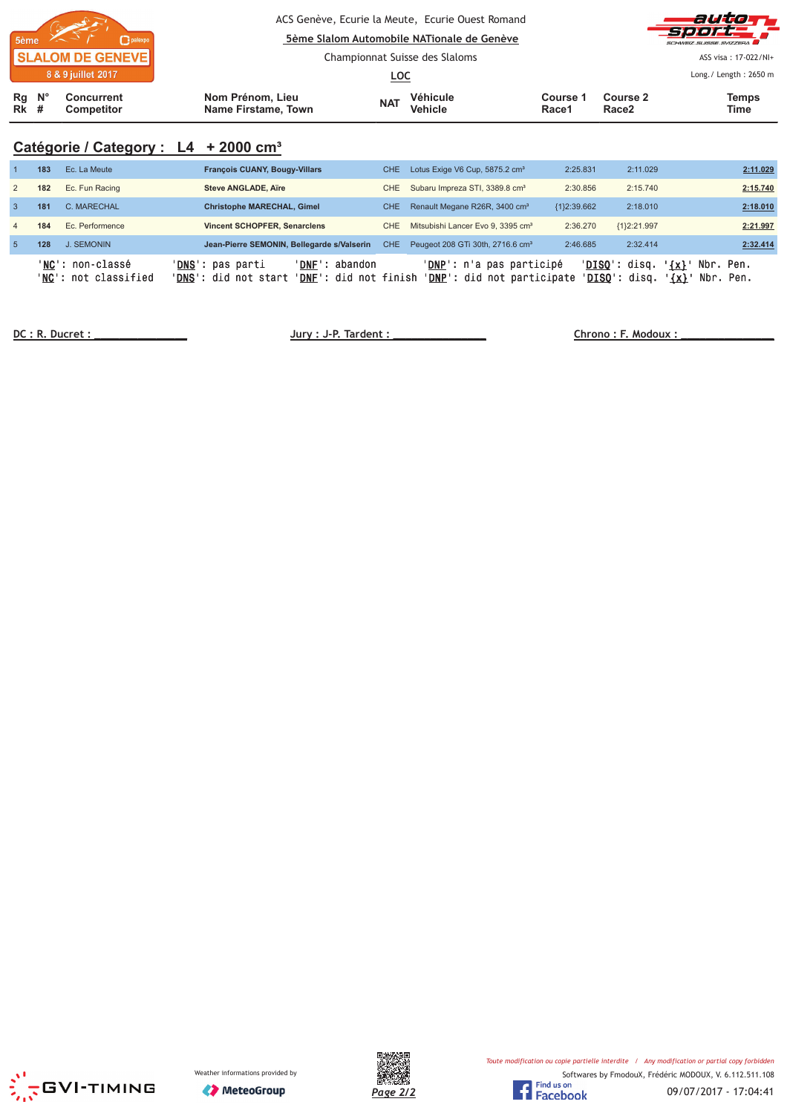| 8 & 9 juillet 2017<br>Rg<br>$N^{\circ}$<br>Concurrent<br><b>Rk</b> #<br><b>Competitor</b> | Nom Prénom, Lieu<br>Name Firstame, Town | <u>LOC</u><br><b>NAT</b> | Véhicule<br><b>Vehicle</b>                                                                                                       | Course 2<br>Course 1<br>Race1<br>Race <sub>2</sub> |  | Long./ Length: 2650 m<br><b>Temps</b><br>Time                           |
|-------------------------------------------------------------------------------------------|-----------------------------------------|--------------------------|----------------------------------------------------------------------------------------------------------------------------------|----------------------------------------------------|--|-------------------------------------------------------------------------|
| <b>SLALOM DE GENEVE</b>                                                                   |                                         |                          | ACS Genève, Ecurie la Meute, Ecurie Ouest Romand<br>5ème Slalom Automobile NATionale de Genève<br>Championnat Suisse des Slaloms |                                                    |  | auto<br><b>Sport</b><br>SCHWEIZ SUISSE SVIZZEDA<br>ASS visa: 17-022/NI+ |

# **Catégorie / Category : L4 + 2000 cm³**

|                | 183 | Ec. La Meute                                     | <b>François CUANY, Bougy-Villars</b>                                                                 | CHE.       | Lotus Exige V6 Cup, 5875.2 cm <sup>3</sup>                            | 2:25.831      | 2:11.029                         | 2:11.029                                        |
|----------------|-----|--------------------------------------------------|------------------------------------------------------------------------------------------------------|------------|-----------------------------------------------------------------------|---------------|----------------------------------|-------------------------------------------------|
| 2              | 182 | Ec. Fun Racing                                   | Steve ANGLADE, Aire                                                                                  | CHE.       | Subaru Impreza STI, 3389.8 cm <sup>3</sup>                            | 2:30.856      | 2:15.740                         | 2:15.740                                        |
| -3             | 181 | C. MARECHAL                                      | <b>Christophe MARECHAL, Gimel</b>                                                                    | CHE.       | Renault Megane R26R, 3400 cm <sup>3</sup>                             | ${1}2:39.662$ | 2:18.010                         | 2:18.010                                        |
| $\overline{4}$ | 184 | Ec. Performence                                  | <b>Vincent SCHOPFER, Senarclens</b>                                                                  | CHE.       | Mitsubishi Lancer Evo 9, 3395 cm <sup>3</sup>                         | 2:36.270      | {1}2:21.997                      | 2:21.997                                        |
| $-5$           | 128 | <b>J. SEMONIN</b>                                | Jean-Pierre SEMONIN, Bellegarde s/Valserin                                                           | <b>CHE</b> | Peugeot 208 GTi 30th, 2716.6 cm <sup>3</sup>                          | 2:46.685      | 2:32.414                         | 2:32.414                                        |
|                |     | ' <b>NC':</b> non-classé<br>'NC': not classified | 'DNS': pas parti<br>'DNF': abandon<br>' <b>DNS':</b> did not start<br>' <b>DNF</b> ': did not finish |            | ' <mark>DNP</mark> ': n'a pas participé<br>'DNP': did not participate |               | $'DISO':$ disq.<br>'DISO': disq. | $\{x\}$<br>Nbr.<br>Pen.<br>$\{x\}$<br>Nbr. Pen. |

 **!" # \$% &**





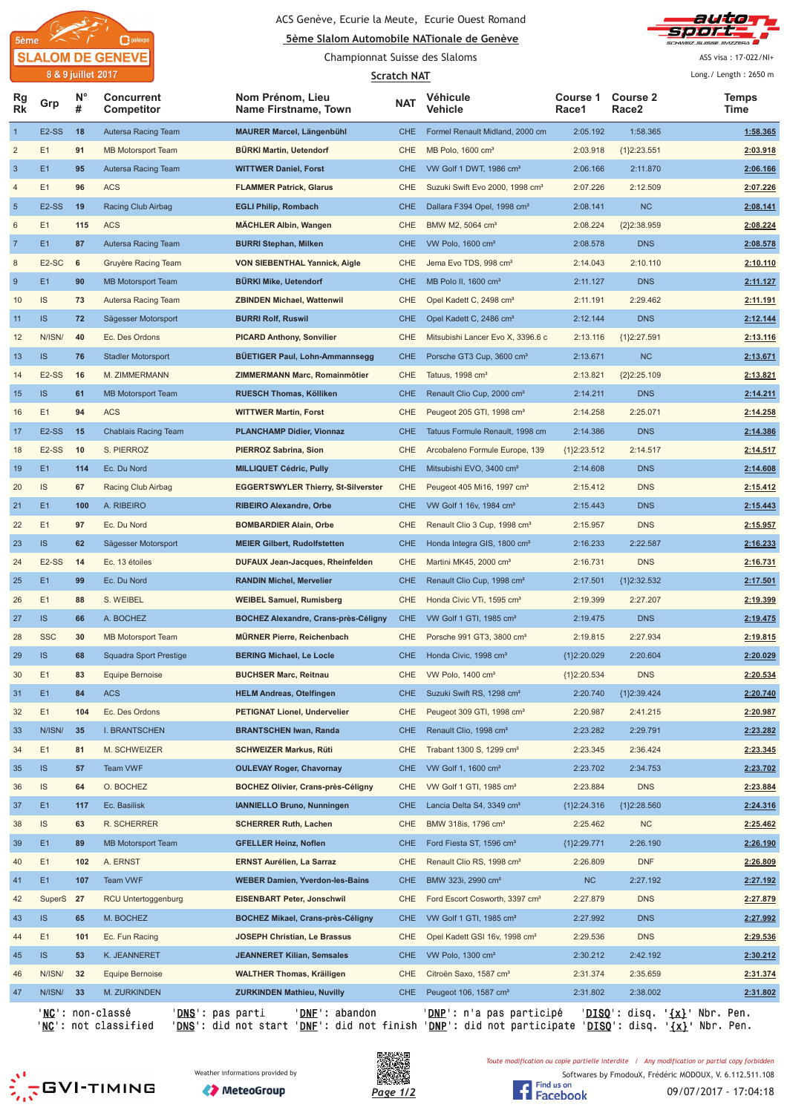

#### ACS Genève, Ecurie la Meute, Ecurie Ouest Romand



Championnat Suisse des Slaloms



ASS visa: 17-022/NI+

|                         |                    | 8 & 9 juillet 2017 |                                               |                                             | <b>Scratch NAT</b> |                                             |                   |                                                 | Long./ Length: 2650 m |
|-------------------------|--------------------|--------------------|-----------------------------------------------|---------------------------------------------|--------------------|---------------------------------------------|-------------------|-------------------------------------------------|-----------------------|
| Rg<br>Rk                | Grp                | N°<br>#            | <b>Concurrent</b><br>Competitor               | Nom Prénom, Lieu<br>Name Firstname, Town    | <b>NAT</b>         | Véhicule<br>Vehicle                         | Course 1<br>Race1 | <b>Course 2</b><br>Race <sub>2</sub>            | Temps<br>Time         |
| $\mathbf{1}$            | E <sub>2</sub> -SS | 18                 | Autersa Racing Team                           | <b>MAURER Marcel, Längenbühl</b>            | <b>CHE</b>         | Formel Renault Midland, 2000 cm             | 2:05.192          | 1:58.365                                        | 1:58.365              |
| $\overline{\mathbf{c}}$ | E1                 | 91                 | <b>MB Motorsport Team</b>                     | <b>BÜRKI Martin, Uetendorf</b>              | <b>CHE</b>         | MB Polo, 1600 cm <sup>3</sup>               | 2:03.918          | ${1}2:23.551$                                   | 2:03.918              |
| $\sqrt{3}$              | E1                 | 95                 | Autersa Racing Team                           | <b>WITTWER Daniel, Forst</b>                | CHE                | VW Golf 1 DWT, 1986 cm <sup>3</sup>         | 2:06.166          | 2:11.870                                        | 2:06.166              |
| 4                       | E1                 | 96                 | <b>ACS</b>                                    | <b>FLAMMER Patrick, Glarus</b>              | <b>CHE</b>         | Suzuki Swift Evo 2000, 1998 cm <sup>3</sup> | 2:07.226          | 2:12.509                                        | 2:07.226              |
| $\sqrt{5}$              | E <sub>2</sub> -SS | 19                 | Racing Club Airbag                            | <b>EGLI Philip, Rombach</b>                 | <b>CHE</b>         | Dallara F394 Opel, 1998 cm <sup>3</sup>     | 2:08.141          | <b>NC</b>                                       | 2:08.141              |
| 6                       | E1                 | 115                | <b>ACS</b>                                    | <b>MÄCHLER Albin, Wangen</b>                | <b>CHE</b>         | BMW M2, 5064 cm <sup>3</sup>                | 2:08.224          | ${2}$ 2:38.959                                  | 2:08.224              |
| $\overline{7}$          | E1                 | 87                 | Autersa Racing Team                           | <b>BURRI Stephan, Milken</b>                | <b>CHE</b>         | VW Polo, 1600 cm <sup>3</sup>               | 2:08.578          | <b>DNS</b>                                      | 2:08.578              |
| 8                       | E2-SC              | 6                  | Gruyère Racing Team                           | <b>VON SIEBENTHAL Yannick, Aigle</b>        | <b>CHE</b>         | Jema Evo TDS, 998 cm <sup>3</sup>           | 2:14.043          | 2:10.110                                        | 2:10.110              |
| $\boldsymbol{9}$        | E <sub>1</sub>     | 90                 | <b>MB Motorsport Team</b>                     | <b>BÜRKI Mike, Uetendorf</b>                | <b>CHE</b>         | MB Polo II, 1600 cm <sup>3</sup>            | 2:11.127          | <b>DNS</b>                                      | <u>2:11.127</u>       |
| 10                      | IS                 | 73                 | Autersa Racing Team                           | <b>ZBINDEN Michael, Wattenwil</b>           | CHE                | Opel Kadett C, 2498 cm <sup>3</sup>         | 2:11.191          | 2:29.462                                        | <u>2:11.191</u>       |
| 11                      | <b>IS</b>          | 72                 | Sägesser Motorsport                           | <b>BURRI Rolf, Ruswil</b>                   | CHE                | Opel Kadett C, 2486 cm <sup>3</sup>         | 2:12.144          | <b>DNS</b>                                      | 2:12.144              |
| 12                      | N/ISN/             | 40                 | Ec. Des Ordons                                | <b>PICARD Anthony, Sonvilier</b>            | <b>CHE</b>         | Mitsubishi Lancer Evo X, 3396.6 c           | 2:13.116          | ${1}2:27.591$                                   | 2:13.116              |
| 13                      | IS                 | 76                 | <b>Stadler Motorsport</b>                     | <b>BÜETIGER Paul, Lohn-Ammannsegg</b>       | <b>CHE</b>         | Porsche GT3 Cup, 3600 cm <sup>3</sup>       | 2:13.671          | <b>NC</b>                                       | 2:13.671              |
| 14                      | E <sub>2</sub> -SS | 16                 | M. ZIMMERMANN                                 | ZIMMERMANN Marc, Romainmôtier               | <b>CHE</b>         | Tatuus, 1998 cm <sup>3</sup>                | 2:13.821          | ${2}2:25.109$                                   | 2:13.821              |
| 15                      | IS                 | 61                 | <b>MB Motorsport Team</b>                     | <b>RUESCH Thomas, Kölliken</b>              | <b>CHE</b>         | Renault Clio Cup, 2000 cm <sup>3</sup>      | 2:14.211          | <b>DNS</b>                                      | 2:14.211              |
| 16                      | E1                 | 94                 | <b>ACS</b>                                    | <b>WITTWER Martin, Forst</b>                | <b>CHE</b>         | Peugeot 205 GTI, 1998 cm <sup>3</sup>       | 2:14.258          | 2:25.071                                        | 2:14.258              |
| 17                      | E <sub>2</sub> -SS | 15                 | <b>Chablais Racing Team</b>                   | <b>PLANCHAMP Didier, Vionnaz</b>            | <b>CHE</b>         | Tatuus Formule Renault, 1998 cm             | 2:14.386          | <b>DNS</b>                                      | 2:14.386              |
| 18                      | E <sub>2</sub> -SS | 10                 | S. PIERROZ                                    | PIERROZ Sabrina, Sion                       | <b>CHE</b>         | Arcobaleno Formule Europe, 139              | ${1}2:23.512$     | 2:14.517                                        | 2:14.517              |
| 19                      | E1                 | 114                | Ec. Du Nord                                   | <b>MILLIQUET Cédric, Pully</b>              | <b>CHE</b>         | Mitsubishi EVO, 3400 cm <sup>3</sup>        | 2:14.608          | <b>DNS</b>                                      | 2:14.608              |
| 20                      | IS                 | 67                 | Racing Club Airbag                            | <b>EGGERTSWYLER Thierry, St-Silverster</b>  | <b>CHE</b>         | Peugeot 405 Mi16, 1997 cm <sup>3</sup>      | 2:15.412          | <b>DNS</b>                                      | 2:15.412              |
| 21                      | E1                 | 100                | A. RIBEIRO                                    | <b>RIBEIRO Alexandre, Orbe</b>              | <b>CHE</b>         | VW Golf 1 16v, 1984 cm <sup>3</sup>         | 2:15.443          | <b>DNS</b>                                      | 2:15.443              |
| 22                      | E1                 | 97                 | Ec. Du Nord                                   | <b>BOMBARDIER Alain, Orbe</b>               | <b>CHE</b>         | Renault Clio 3 Cup, 1998 cm <sup>3</sup>    | 2:15.957          | <b>DNS</b>                                      | 2:15.957              |
| 23                      | IS                 | 62                 | Sägesser Motorsport                           | <b>MEIER Gilbert, Rudolfstetten</b>         | <b>CHE</b>         | Honda Integra GIS, 1800 cm <sup>3</sup>     | 2:16.233          | 2:22.587                                        | 2:16.233              |
| 24                      | E <sub>2</sub> -SS | 14                 | Ec. 13 étoiles                                | DUFAUX Jean-Jacques, Rheinfelden            | <b>CHE</b>         | Martini MK45, 2000 cm <sup>3</sup>          | 2:16.731          | <b>DNS</b>                                      | 2:16.731              |
| 25                      | E1                 | 99                 | Ec. Du Nord                                   | <b>RANDIN Michel, Mervelier</b>             | <b>CHE</b>         | Renault Clio Cup, 1998 cm <sup>3</sup>      | 2:17.501          | ${1}2:32.532$                                   | 2:17.501              |
| 26                      | E1                 | 88                 | S. WEIBEL                                     | <b>WEIBEL Samuel, Rumisberg</b>             | <b>CHE</b>         | Honda Civic VTi, 1595 cm <sup>3</sup>       | 2:19.399          | 2:27.207                                        | 2:19.399              |
| 27                      | IS.                | 66                 | A. BOCHEZ                                     | <b>BOCHEZ Alexandre, Crans-près-Céligny</b> | <b>CHE</b>         | VW Golf 1 GTI, 1985 cm <sup>3</sup>         | 2:19.475          | <b>DNS</b>                                      | 2:19.475              |
| 28                      | <b>SSC</b>         | 30                 | <b>MB Motorsport Team</b>                     | <b>MÜRNER Pierre, Reichenbach</b>           | <b>CHE</b>         | Porsche 991 GT3, 3800 cm <sup>3</sup>       | 2:19.815          | 2:27.934                                        | 2:19.815              |
| 29                      | <b>IS</b>          | 68                 | <b>Squadra Sport Prestige</b>                 | <b>BERING Michael, Le Locle</b>             | <b>CHE</b>         | Honda Civic, 1998 cm <sup>3</sup>           | {1}2:20.029       | 2:20.604                                        | 2:20.029              |
| 30                      | E1                 | 83                 | Equipe Bernoise                               | <b>BUCHSER Marc, Reitnau</b>                | CHE                | VW Polo, 1400 cm <sup>3</sup>               | ${1}2:20.534$     | <b>DNS</b>                                      | 2:20.534              |
| 31                      | E1                 | 84                 | <b>ACS</b>                                    | <b>HELM Andreas, Otelfingen</b>             | CHE.               | Suzuki Swift RS, 1298 cm <sup>3</sup>       | 2:20.740          | ${1}2:39.424$                                   | 2:20.740              |
| 32                      | E1                 | 104                | Ec. Des Ordons                                | PETIGNAT Lionel, Undervelier                | CHE                | Peugeot 309 GTI, 1998 cm <sup>3</sup>       | 2:20.987          | 2:41.215                                        | 2:20.987              |
| 33                      | N/ISN/             | 35                 | I. BRANTSCHEN                                 | <b>BRANTSCHEN Iwan, Randa</b>               | CHE                | Renault Clio, 1998 cm <sup>3</sup>          | 2:23.282          | 2:29.791                                        | 2:23.282              |
| 34                      | E1                 | 81                 | M. SCHWEIZER                                  | <b>SCHWEIZER Markus, Rüti</b>               | CHE                | Trabant 1300 S, 1299 cm <sup>3</sup>        | 2:23.345          | 2:36.424                                        | 2:23.345              |
| 35                      | IS                 | 57                 | Team VWF                                      | <b>OULEVAY Roger, Chavornay</b>             | CHE                | VW Golf 1, 1600 cm <sup>3</sup>             | 2:23.702          | 2:34.753                                        | 2:23.702              |
| 36                      | <b>IS</b>          | 64                 | O. BOCHEZ                                     | <b>BOCHEZ Olivier, Crans-près-Céligny</b>   | <b>CHE</b>         | VW Golf 1 GTI, 1985 cm <sup>3</sup>         | 2:23.884          | <b>DNS</b>                                      | 2:23.884              |
| 37                      | E1                 | 117                | Ec. Basilisk                                  | <b>IANNIELLO Bruno, Nunningen</b>           | <b>CHE</b>         | Lancia Delta S4, 3349 cm <sup>3</sup>       | {1}2:24.316       | ${1}2:28.560$                                   | 2:24.316              |
| 38                      | <b>IS</b>          | 63                 | R. SCHERRER                                   | <b>SCHERRER Ruth, Lachen</b>                | <b>CHE</b>         | BMW 318is, 1796 cm <sup>3</sup>             | 2:25.462          | <b>NC</b>                                       | 2:25.462              |
| 39                      | E1                 | 89                 | MB Motorsport Team                            | <b>GFELLER Heinz, Noflen</b>                | CHE                | Ford Fiesta ST, 1596 cm <sup>3</sup>        | ${1}2:29.771$     | 2:26.190                                        | 2:26.190              |
| 40                      | E1                 | 102                | A. ERNST                                      | <b>ERNST Aurélien, La Sarraz</b>            | CHE                | Renault Clio RS, 1998 cm <sup>3</sup>       | 2:26.809          | <b>DNF</b>                                      | 2:26.809              |
| 41                      | E1                 | 107                | Team VWF                                      | <b>WEBER Damien, Yverdon-les-Bains</b>      | <b>CHE</b>         | BMW 323i, 2990 cm <sup>3</sup>              | NC                | 2:27.192                                        | 2:27.192              |
| 42                      | SuperS 27          |                    | RCU Untertoggenburg                           | <b>EISENBART Peter, Jonschwil</b>           | <b>CHE</b>         | Ford Escort Cosworth, 3397 cm <sup>3</sup>  | 2:27.879          | <b>DNS</b>                                      | 2:27.879              |
| 43                      | IS.                | 65                 | M. BOCHEZ                                     | <b>BOCHEZ Mikael, Crans-près-Céligny</b>    | <b>CHE</b>         | VW Golf 1 GTI, 1985 cm <sup>3</sup>         | 2:27.992          | <b>DNS</b>                                      | 2:27.992              |
| 44                      | E1                 | 101                | Ec. Fun Racing                                | <b>JOSEPH Christian, Le Brassus</b>         | <b>CHE</b>         | Opel Kadett GSI 16v, 1998 cm <sup>3</sup>   | 2:29.536          | <b>DNS</b>                                      | 2:29.536              |
| 45                      | IS.                | 53                 | K. JEANNERET                                  | <b>JEANNERET Kilian, Semsales</b>           | CHE                | VW Polo, 1300 cm <sup>3</sup>               | 2:30.212          | 2:42.192                                        | 2:30.212              |
|                         | N/ISN/             | 32                 | Equipe Bernoise                               | <b>WALTHER Thomas, Kräiligen</b>            | CHE                | Citroën Saxo, 1587 cm <sup>3</sup>          | 2:31.374          | 2:35.659                                        |                       |
| 46<br>47                | N/ISN/             | 33                 | M. ZURKINDEN                                  | <b>ZURKINDEN Mathieu, Nuvilly</b>           | CHE                | Peugeot 106, 1587 cm <sup>3</sup>           | 2:31.802          | 2:38.002                                        | 2:31.374              |
|                         |                    |                    |                                               |                                             |                    |                                             |                   |                                                 | 2:31.802              |
|                         |                    |                    | 'NC': non-classé<br>' <b>DNS</b> ': pas parti | 'DNF': abandon                              |                    | ' <u>DNP</u> ': n'a pas participé           |                   | ' <u>DISQ</u> ': disq. ' <u>{x}</u> ' Nbr. Pen. |                       |

'<u>NC</u>': not classified '<u>DN</u>

<u>S</u>': did not start '<u>DNF</u>': did not finish '<u>DNP</u>': did not participate '<u>DISQ</u>': disq. '<u>{x}</u>' Nbr. Pen.









Toute modification ou copie partielle interdite / Any modification or partial copy forbidden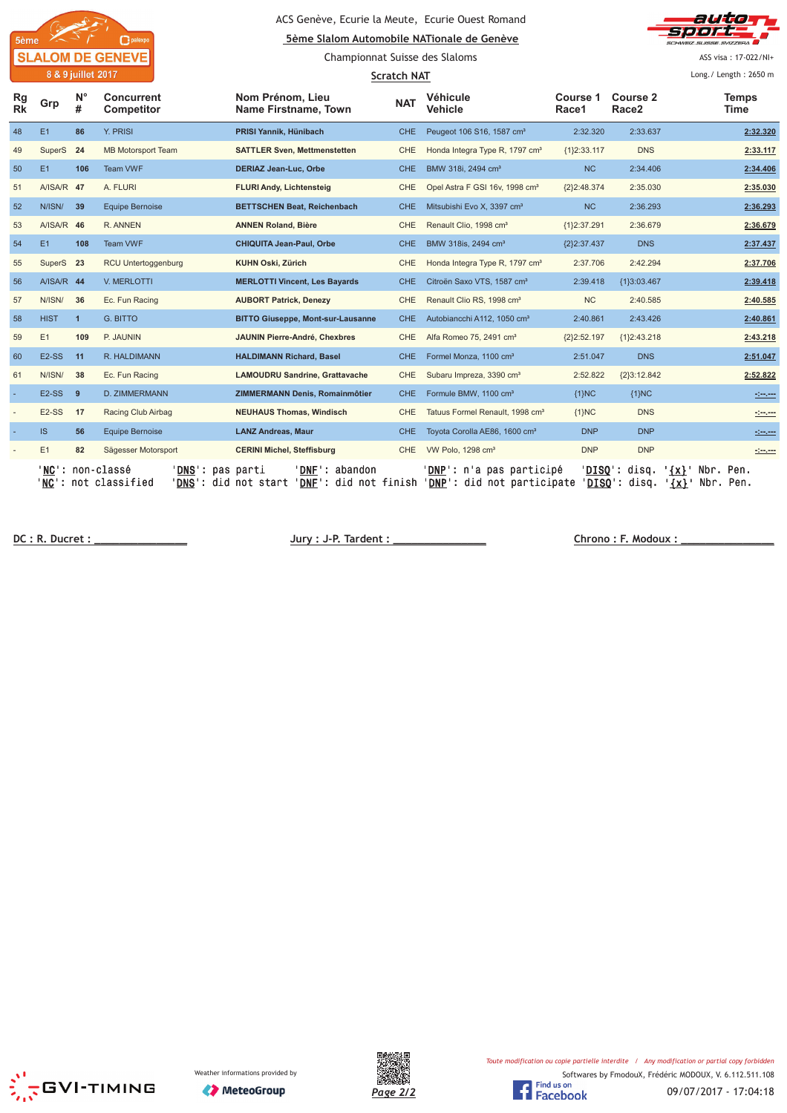

#### ACS Genève, Ecurie la Meute, Ecurie Ouest Romand **Sème Slalom Automobile NATionale de Genève**

Championnat Suisse des Slaloms



ASS visa: 17-022/NI+

|                 | 8 & 9 juillet 2017 |                  |                                             | <b>Scratch NAT</b>                                                                             |            |                                                                               |                   |                                      |                                                    |
|-----------------|--------------------|------------------|---------------------------------------------|------------------------------------------------------------------------------------------------|------------|-------------------------------------------------------------------------------|-------------------|--------------------------------------|----------------------------------------------------|
| Rg<br><b>Rk</b> | Grp                | $N^{\circ}$<br># | Concurrent<br>Competitor                    | Nom Prénom, Lieu<br><b>Name Firstname, Town</b>                                                | <b>NAT</b> | <b>Véhicule</b><br>Vehicle                                                    | Course 1<br>Race1 | <b>Course 2</b><br>Race <sub>2</sub> | <b>Temps</b><br>Time                               |
| 48              | E1                 | 86               | Y. PRISI                                    | PRISI Yannik, Hünibach                                                                         | CHE.       | Peugeot 106 S16, 1587 cm <sup>3</sup>                                         | 2:32.320          | 2:33.637                             | 2:32.320                                           |
| 49              | SuperS             | 24               | <b>MB Motorsport Team</b>                   | <b>SATTLER Sven, Mettmenstetten</b>                                                            | CHE        | Honda Integra Type R, 1797 cm <sup>3</sup>                                    | ${1}2:33.117$     | <b>DNS</b>                           | 2:33.117                                           |
| 50              | E1                 | 106              | Team VWF                                    | <b>DERIAZ Jean-Luc, Orbe</b>                                                                   | <b>CHE</b> | BMW 318i, 2494 cm <sup>3</sup>                                                | <b>NC</b>         | 2:34.406                             | 2:34.406                                           |
| 51              | A/ISA/R 47         |                  | A. FLURI                                    | <b>FLURI Andy, Lichtensteig</b>                                                                | <b>CHE</b> | Opel Astra F GSI 16v, 1998 cm <sup>3</sup>                                    | ${2}2:48.374$     | 2:35.030                             | 2:35.030                                           |
| 52              | N/ISN/             | 39               | <b>Equipe Bernoise</b>                      | <b>BETTSCHEN Beat, Reichenbach</b>                                                             | <b>CHE</b> | Mitsubishi Evo X, 3397 cm <sup>3</sup>                                        | <b>NC</b>         | 2:36.293                             | 2:36.293                                           |
| 53              | A/ISA/R 46         |                  | R. ANNEN                                    | <b>ANNEN Roland, Bière</b>                                                                     | <b>CHE</b> | Renault Clio, 1998 cm <sup>3</sup>                                            | {1}2:37.291       | 2:36.679                             | 2:36.679                                           |
| 54              | E1                 | 108              | Team VWF                                    | <b>CHIQUITA Jean-Paul, Orbe</b>                                                                | CHE.       | BMW 318is, 2494 cm <sup>3</sup>                                               | ${2}2:37.437$     | <b>DNS</b>                           | 2:37.437                                           |
| 55              | SuperS 23          |                  | RCU Untertoggenburg                         | KUHN Oski, Zürich                                                                              | <b>CHE</b> | Honda Integra Type R, 1797 cm <sup>3</sup>                                    | 2:37.706          | 2:42.294                             | 2:37.706                                           |
| 56              | A/ISA/R 44         |                  | V. MERLOTTI                                 | <b>MERLOTTI Vincent, Les Bayards</b>                                                           | <b>CHE</b> | Citroën Saxo VTS, 1587 cm <sup>3</sup>                                        | 2:39.418          | {1}3:03.467                          | 2:39.418                                           |
| 57              | N/ISN/             | 36               | Ec. Fun Racing                              | <b>AUBORT Patrick, Denezy</b>                                                                  | <b>CHE</b> | Renault Clio RS, 1998 cm <sup>3</sup>                                         | <b>NC</b>         | 2:40.585                             | 2:40.585                                           |
| 58              | <b>HIST</b>        | $\mathbf{1}$     | G. BITTO                                    | <b>BITTO Giuseppe, Mont-sur-Lausanne</b>                                                       | CHE.       | Autobiancchi A112, 1050 cm <sup>3</sup>                                       | 2:40.861          | 2:43.426                             | 2:40.861                                           |
| 59              | E <sub>1</sub>     | 109              | P. JAUNIN                                   | JAUNIN Pierre-André, Chexbres                                                                  | CHE.       | Alfa Romeo 75, 2491 cm <sup>3</sup>                                           | {2}2:52.197       | ${1}2:43.218$                        | 2:43.218                                           |
| 60              | E <sub>2</sub> -SS | 11               | R. HALDIMANN                                | <b>HALDIMANN Richard, Basel</b>                                                                | <b>CHE</b> | Formel Monza, 1100 cm <sup>3</sup>                                            | 2:51.047          | <b>DNS</b>                           | 2:51.047                                           |
| 61              | N/ISN/             | 38               | Ec. Fun Racing                              | <b>LAMOUDRU Sandrine, Grattavache</b>                                                          | CHE.       | Subaru Impreza, 3390 cm <sup>3</sup>                                          | 2:52.822          | ${2}3:12.842$                        | 2:52.822                                           |
|                 | $E2-SS$            | 9                | D. ZIMMERMANN                               | <b>ZIMMERMANN Denis, Romainmôtier</b>                                                          | <b>CHE</b> | Formule BMW, 1100 cm <sup>3</sup>                                             | ${1}NC$           | ${1}NC$                              | <u> 1959 - 19</u>                                  |
|                 | $E2-SS$            | 17               | Racing Club Airbag                          | <b>NEUHAUS Thomas, Windisch</b>                                                                | <b>CHE</b> | Tatuus Formel Renault, 1998 cm <sup>3</sup>                                   | ${1}NC$           | <b>DNS</b>                           | $\frac{1}{2}$                                      |
|                 | IS.                | 56               | <b>Equipe Bernoise</b>                      | <b>LANZ Andreas, Maur</b>                                                                      | <b>CHE</b> | Toyota Corolla AE86, 1600 cm <sup>3</sup>                                     | <b>DNP</b>        | <b>DNP</b>                           |                                                    |
|                 | E1                 | 82               | Sägesser Motorsport                         | <b>CERINI Michel, Steffisburg</b>                                                              | <b>CHE</b> | VW Polo, 1298 cm <sup>3</sup>                                                 | <b>DNP</b>        | <b>DNP</b>                           |                                                    |
|                 | ' NC '             |                  | non-classé<br>DNS':<br>'NC': not classified | ' DNF '<br>abandon<br>pas parti<br>' <b>DNS</b> ': did not start<br>$"DNF$ :<br>did not finish |            | ' <b>DNP</b> ': n'a pas participé<br>'DNP': did not participate 'DISQ': disq. | 'DISO':           | disa.                                | ' {x} '<br>Nbr. Pen.<br><u>'{x}</u> '<br>Nbr. Pen. |

 **! "# \$**





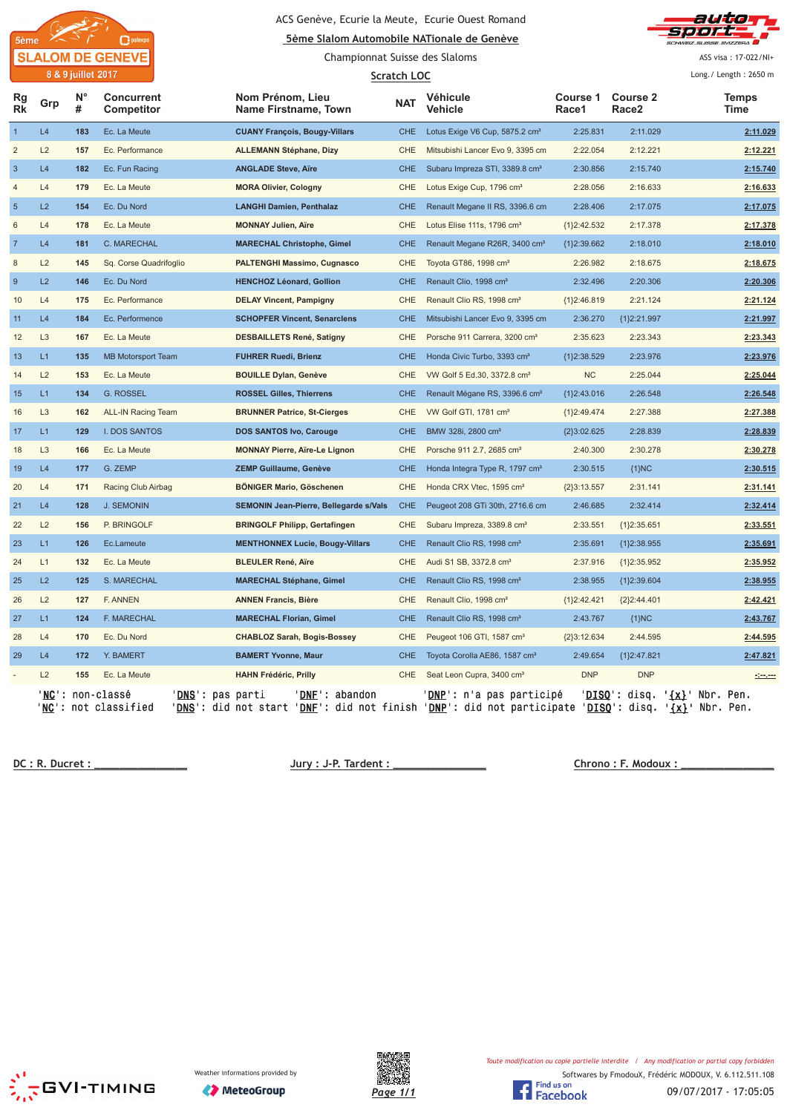

#### ACS Genève, Ecurie la Meute, Ecurie Ouest Romand



Championnat Suisse des Slaloms

sport ASS visa: 17-022/NI+

auto

 $\frac{1}{2}$ 

|                | 8 & 9 juillet 2017<br><b>Scratch LOC</b> |                  |                                                                       |                                                                                                                                |            |                                            |                          | Long./ Length: 2650 m                |                            |                      |
|----------------|------------------------------------------|------------------|-----------------------------------------------------------------------|--------------------------------------------------------------------------------------------------------------------------------|------------|--------------------------------------------|--------------------------|--------------------------------------|----------------------------|----------------------|
| Rg<br>Rk       | Grp                                      | $N^{\circ}$<br># | Concurrent<br>Competitor                                              | Nom Prénom, Lieu<br>Name Firstname, Town                                                                                       | <b>NAT</b> | Véhicule<br>Vehicle                        | <b>Course 1</b><br>Race1 | <b>Course 2</b><br>Race <sub>2</sub> |                            | <b>Temps</b><br>Time |
| $\overline{1}$ | L4                                       | 183              | Ec. La Meute                                                          | <b>CUANY François, Bougy-Villars</b>                                                                                           | <b>CHE</b> | Lotus Exige V6 Cup, 5875.2 cm <sup>3</sup> | 2:25.831                 | 2:11.029                             |                            | 2:11.029             |
| $\overline{2}$ | L2                                       | 157              | Ec. Performance                                                       | <b>ALLEMANN Stéphane, Dizy</b>                                                                                                 | <b>CHE</b> | Mitsubishi Lancer Evo 9, 3395 cm           | 2:22.054                 | 2:12.221                             |                            | 2:12.221             |
| $\mathbf{3}$   | L4                                       | 182              | Ec. Fun Racing                                                        | <b>ANGLADE Steve, Aïre</b>                                                                                                     | <b>CHE</b> | Subaru Impreza STI, 3389.8 cm <sup>3</sup> | 2:30.856                 | 2:15.740                             |                            | 2:15.740             |
| $\overline{4}$ | L4                                       | 179              | Ec. La Meute                                                          | <b>MORA Olivier, Cologny</b>                                                                                                   | <b>CHE</b> | Lotus Exige Cup, 1796 cm <sup>3</sup>      | 2:28.056                 | 2:16.633                             |                            | 2:16.633             |
| $\overline{5}$ | L2                                       | 154              | Ec. Du Nord                                                           | <b>LANGHI Damien, Penthalaz</b>                                                                                                | <b>CHE</b> | Renault Megane II RS, 3396.6 cm            | 2:28.406                 | 2:17.075                             |                            | 2:17.075             |
| $\,6\,$        | L4                                       | 178              | Ec. La Meute                                                          | <b>MONNAY Julien, Aïre</b>                                                                                                     | CHE        | Lotus Elise 111s, 1796 cm <sup>3</sup>     | {1}2:42.532              | 2:17.378                             |                            | 2:17.378             |
| $\overline{7}$ | L4                                       | 181              | C. MARECHAL                                                           | <b>MARECHAL Christophe, Gimel</b>                                                                                              | <b>CHE</b> | Renault Megane R26R, 3400 cm <sup>3</sup>  | {1}2:39.662              | 2:18.010                             |                            | 2:18.010             |
| $\,$ 8         | L2                                       | 145              | Sq. Corse Quadrifoglio                                                | <b>PALTENGHI Massimo, Cugnasco</b>                                                                                             | <b>CHE</b> | Toyota GT86, 1998 cm <sup>3</sup>          | 2:26.982                 | 2:18.675                             |                            | 2:18.675             |
| 9              | L2                                       | 146              | Ec. Du Nord                                                           | <b>HENCHOZ Léonard, Gollion</b>                                                                                                | <b>CHE</b> | Renault Clio, 1998 cm <sup>3</sup>         | 2:32.496                 | 2:20.306                             |                            | 2:20.306             |
| 10             | L4                                       | 175              | Ec. Performance                                                       | <b>DELAY Vincent, Pampigny</b>                                                                                                 | <b>CHE</b> | Renault Clio RS, 1998 cm <sup>3</sup>      | ${1}2:46.819$            | 2:21.124                             |                            | 2:21.124             |
| 11             | L4                                       | 184              | Ec. Performence                                                       | <b>SCHOPFER Vincent, Senarclens</b>                                                                                            | <b>CHE</b> | Mitsubishi Lancer Evo 9, 3395 cm           | 2:36.270                 | {1}2:21.997                          |                            | 2:21.997             |
| 12             | L <sub>3</sub>                           | 167              | Ec. La Meute                                                          | <b>DESBAILLETS René, Satigny</b>                                                                                               | CHE        | Porsche 911 Carrera, 3200 cm <sup>3</sup>  | 2:35.623                 | 2:23.343                             |                            | 2:23.343             |
| 13             | L1                                       | 135              | <b>MB Motorsport Team</b>                                             | <b>FUHRER Ruedi, Brienz</b>                                                                                                    | <b>CHE</b> | Honda Civic Turbo, 3393 cm <sup>3</sup>    | {1}2:38.529              | 2:23.976                             |                            | 2:23.976             |
| 14             | L2                                       | 153              | Ec. La Meute                                                          | <b>BOUILLE Dylan, Genève</b>                                                                                                   | <b>CHE</b> | VW Golf 5 Ed.30, 3372.8 cm <sup>3</sup>    | NC                       | 2:25.044                             |                            | 2:25.044             |
| 15             | L1                                       | 134              | G. ROSSEL                                                             | <b>ROSSEL Gilles, Thierrens</b>                                                                                                | <b>CHE</b> | Renault Mégane RS, 3396.6 cm <sup>3</sup>  | ${1}2:43.016$            | 2:26.548                             |                            | 2:26.548             |
| 16             | L <sub>3</sub>                           | 162              | <b>ALL-IN Racing Team</b>                                             | <b>BRUNNER Patrice, St-Cierges</b>                                                                                             | <b>CHE</b> | VW Golf GTI, 1781 cm <sup>3</sup>          | ${1}2:49.474$            | 2:27.388                             |                            | 2:27.388             |
| 17             | L1                                       | 129              | <b>I. DOS SANTOS</b>                                                  | <b>DOS SANTOS Ivo, Carouge</b>                                                                                                 | <b>CHE</b> | BMW 328i, 2800 cm <sup>3</sup>             | ${2}3:02.625$            | 2:28.839                             |                            | 2:28.839             |
| 18             | L <sub>3</sub>                           | 166              | Ec. La Meute                                                          | <b>MONNAY Pierre, Aïre-Le Lignon</b>                                                                                           | <b>CHE</b> | Porsche 911 2.7, 2685 cm <sup>3</sup>      | 2:40.300                 | 2:30.278                             |                            | 2:30.278             |
| 19             | L4                                       | 177              | G. ZEMP                                                               | <b>ZEMP Guillaume, Genève</b>                                                                                                  | <b>CHE</b> | Honda Integra Type R, 1797 cm <sup>3</sup> | 2:30.515                 | ${1}NC$                              |                            | 2:30.515             |
| 20             | L4                                       | 171              | Racing Club Airbag                                                    | <b>BÖNIGER Mario, Göschenen</b>                                                                                                | <b>CHE</b> | Honda CRX Vtec, 1595 cm <sup>3</sup>       | ${2}3:13.557$            | 2:31.141                             |                            | 2:31.141             |
| 21             | L4                                       | 128              | <b>J. SEMONIN</b>                                                     | SEMONIN Jean-Pierre, Bellegarde s/Vals                                                                                         | <b>CHE</b> | Peugeot 208 GTi 30th, 2716.6 cm            | 2:46.685                 | 2:32.414                             |                            | 2:32.414             |
| 22             | L2                                       | 156              | P. BRINGOLF                                                           | <b>BRINGOLF Philipp, Gertafingen</b>                                                                                           | CHE        | Subaru Impreza, 3389.8 cm <sup>3</sup>     | 2:33.551                 | ${1}2:35.651$                        |                            | 2:33.551             |
| 23             | L1                                       | 126              | Ec.Lameute                                                            | <b>MENTHONNEX Lucie, Bougy-Villars</b>                                                                                         | <b>CHE</b> | Renault Clio RS, 1998 cm <sup>3</sup>      | 2:35.691                 | ${1}2:38.955$                        |                            | 2:35.691             |
| 24             | L1                                       | 132              | Ec. La Meute                                                          | <b>BLEULER René, Aïre</b>                                                                                                      | <b>CHE</b> | Audi S1 SB, 3372.8 cm <sup>3</sup>         | 2:37.916                 | ${1}2:35.952$                        |                            | 2:35.952             |
| 25             | L2                                       | 125              | S. MARECHAL                                                           | <b>MARECHAL Stéphane, Gimel</b>                                                                                                | <b>CHE</b> | Renault Clio RS, 1998 cm <sup>3</sup>      | 2:38.955                 | ${1}2:39.604$                        |                            | 2:38.955             |
| 26             | L2                                       | 127              | F. ANNEN                                                              | <b>ANNEN Francis, Bière</b>                                                                                                    | <b>CHE</b> | Renault Clio, 1998 cm <sup>3</sup>         | ${1}2:42.421$            | ${2}2:44.401$                        |                            | 2:42.421             |
| 27             | L1                                       | 124              | F. MARECHAL                                                           | <b>MARECHAL Florian, Gimel</b>                                                                                                 | <b>CHE</b> | Renault Clio RS, 1998 cm <sup>3</sup>      | 2:43.767                 | ${1}NC$                              |                            | 2:43.767             |
| 28             | L4                                       | 170              | Ec. Du Nord                                                           | <b>CHABLOZ Sarah, Bogis-Bossey</b>                                                                                             | <b>CHE</b> | Peugeot 106 GTI, 1587 cm <sup>3</sup>      | ${2}3:12.634$            | 2:44.595                             |                            | 2:44.595             |
| 29             | L4                                       | 172              | Y. BAMERT                                                             | <b>BAMERT Yvonne, Maur</b>                                                                                                     | <b>CHE</b> | Toyota Corolla AE86, 1587 cm <sup>3</sup>  | 2:49.654                 | ${1}2:47.821$                        |                            | 2:47.821             |
|                | L2                                       | 155              | Ec. La Meute                                                          | <b>HAHN Frédéric, Prilly</b>                                                                                                   | <b>CHE</b> | Seat Leon Cupra, 3400 cm <sup>3</sup>      | <b>DNP</b>               | <b>DNP</b>                           |                            | كمحت                 |
|                |                                          |                  | 'NC': non-classé<br>' <u>DNS</u> ': pas parti<br>'NC': not classified | ' <b>DNF</b> ': abandon<br>'DNS': did not start 'DNE': did not finish 'DNP': did not participate 'DISQ': disq. '{x}' Nbr. Pen. |            | ' <u>DNP</u> ': n'a pas participé          |                          | ' <u>DISQ</u> ': disq.               | $\{\mathbf{x}\}$ Nbr. Pen. |                      |

**! "# \$% &**





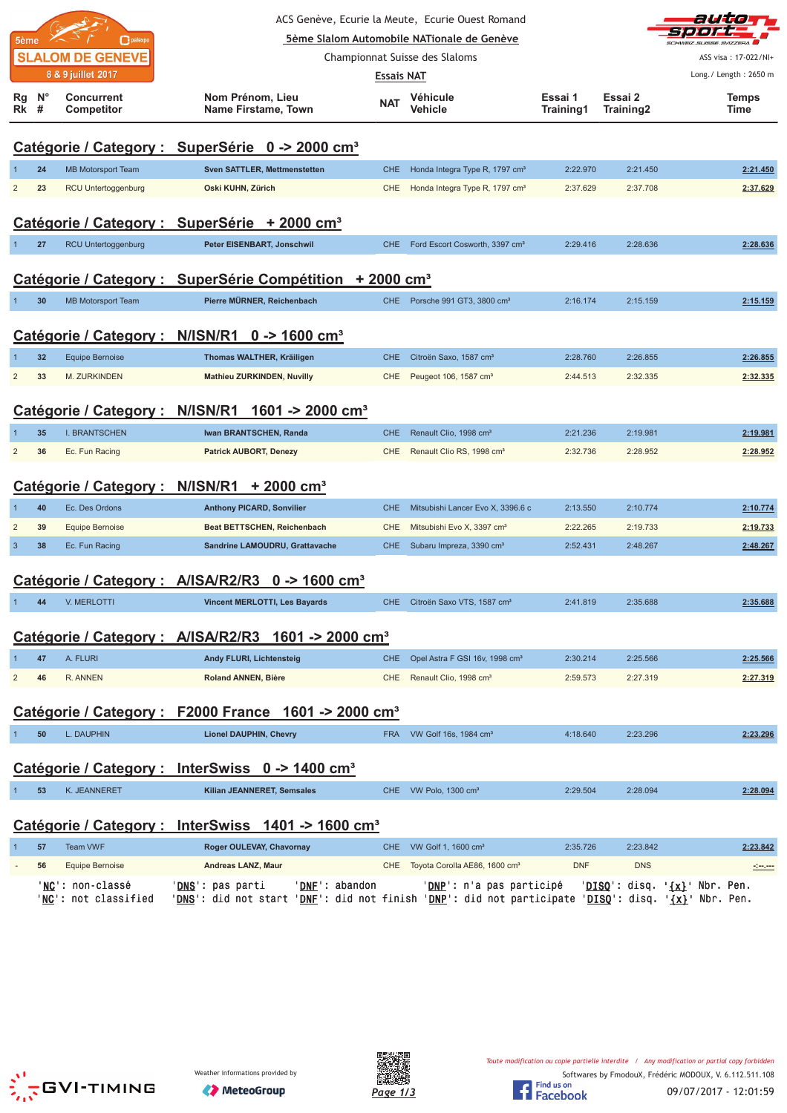| ACS Genève, Ecurie la Meute,  Ecurie Ouest Romand |                     |                                 |                                                                      |                   |                                            |                      |                      |                                                 | auto                   |
|---------------------------------------------------|---------------------|---------------------------------|----------------------------------------------------------------------|-------------------|--------------------------------------------|----------------------|----------------------|-------------------------------------------------|------------------------|
|                                                   | 5ème                | palexpo                         |                                                                      |                   | 5ème Slalom Automobile NATionale de Genève |                      |                      |                                                 | <b>CLICCE CLIZZEDA</b> |
|                                                   |                     | <b>SLALOM DE GENEVE</b>         |                                                                      |                   | Championnat Suisse des Slaloms             |                      |                      |                                                 | ASS visa: 17-022/NI+   |
|                                                   |                     | 8 & 9 juillet 2017              |                                                                      | <b>Essais NAT</b> |                                            |                      |                      |                                                 | Long./ Length: 2650 m  |
| Rg                                                | $N^{\circ}$<br>Rk # | <b>Concurrent</b><br>Competitor | Nom Prénom, Lieu<br>Name Firstame, Town                              | <b>NAT</b>        | Véhicule<br>Vehicle                        | Essai 1<br>Training1 | Essai 2<br>Training2 |                                                 | <b>Temps</b><br>Time   |
|                                                   |                     |                                 | Catégorie / Category : SuperSérie 0 -> 2000 cm <sup>3</sup>          |                   |                                            |                      |                      |                                                 |                        |
|                                                   | 24                  | <b>MB Motorsport Team</b>       | <b>Sven SATTLER, Mettmenstetten</b>                                  | <b>CHE</b>        | Honda Integra Type R, 1797 cm <sup>3</sup> | 2:22.970             | 2:21.450             |                                                 | 2:21.450               |
| $\overline{2}$                                    | 23                  | RCU Untertoggenburg             | Oski KUHN, Zürich                                                    | <b>CHE</b>        | Honda Integra Type R, 1797 cm <sup>3</sup> | 2:37.629             | 2:37.708             |                                                 | 2:37.629               |
|                                                   |                     |                                 | Catégorie / Category : SuperSérie + 2000 cm <sup>3</sup>             |                   |                                            |                      |                      |                                                 |                        |
|                                                   | 27                  | RCU Untertoggenburg             | Peter EISENBART, Jonschwil                                           | <b>CHE</b>        | Ford Escort Cosworth, 3397 cm <sup>3</sup> | 2:29.416             | 2:28.636             |                                                 | 2:28.636               |
|                                                   |                     |                                 | Catégorie / Category : SuperSérie Compétition + 2000 cm <sup>3</sup> |                   |                                            |                      |                      |                                                 |                        |
| 1                                                 | 30                  | <b>MB Motorsport Team</b>       | Pierre MÜRNER, Reichenbach                                           |                   | CHE Porsche 991 GT3, 3800 cm <sup>3</sup>  | 2:16.174             | 2:15.159             |                                                 | 2:15.159               |
|                                                   |                     | Catégorie / Category :          | N/ISN/R1<br>$0 - 1600$ cm <sup>3</sup>                               |                   |                                            |                      |                      |                                                 |                        |
|                                                   | 32                  | <b>Equipe Bernoise</b>          | Thomas WALTHER, Kräiligen                                            | <b>CHE</b>        | Citroën Saxo, 1587 cm <sup>3</sup>         | 2:28.760             | 2:26.855             |                                                 | 2:26.855               |
| $\overline{2}$                                    | 33                  | M. ZURKINDEN                    | <b>Mathieu ZURKINDEN, Nuvilly</b>                                    | <b>CHE</b>        | Peugeot 106, 1587 cm <sup>3</sup>          | 2:44.513             | 2:32.335             |                                                 | 2:32.335               |
|                                                   |                     | Catégorie / Category :          | N/ISN/R1<br>1601 -> 2000 cm <sup>3</sup>                             |                   |                                            |                      |                      |                                                 |                        |
|                                                   | 35                  | <b>I. BRANTSCHEN</b>            | Iwan BRANTSCHEN, Randa                                               | <b>CHE</b>        | Renault Clio, 1998 cm <sup>3</sup>         | 2:21.236             | 2:19.981             |                                                 | 2:19.981               |
| $\overline{c}$                                    | 36                  | Ec. Fun Racing                  | <b>Patrick AUBORT, Denezy</b>                                        | <b>CHE</b>        | Renault Clio RS, 1998 cm <sup>3</sup>      | 2:32.736             | 2:28.952             |                                                 | 2:28.952               |
|                                                   |                     | Catégorie / Category : N/ISN/R1 | $+2000$ cm <sup>3</sup>                                              |                   |                                            |                      |                      |                                                 |                        |
|                                                   | 40                  | Ec. Des Ordons                  | <b>Anthony PICARD, Sonvilier</b>                                     | <b>CHE</b>        | Mitsubishi Lancer Evo X, 3396.6 c          | 2:13.550             | 2:10.774             |                                                 | 2:10.774               |
| $\overline{2}$                                    | 39                  | <b>Equipe Bernoise</b>          | <b>Beat BETTSCHEN, Reichenbach</b>                                   | <b>CHE</b>        | Mitsubishi Evo X, 3397 cm <sup>3</sup>     | 2:22.265             | 2:19.733             |                                                 | 2:19.733               |
| $\mathbf{3}$                                      | 38                  | Ec. Fun Racing                  | Sandrine LAMOUDRU, Grattavache                                       | <b>CHE</b>        | Subaru Impreza, 3390 cm <sup>3</sup>       | 2:52.431             | 2:48.267             |                                                 | 2:48.267               |
|                                                   |                     |                                 | Catégorie / Category : A/ISA/R2/R3 0 -> 1600 cm <sup>3</sup>         |                   |                                            |                      |                      |                                                 |                        |
|                                                   |                     | 44 V. MERLOTTI                  | Vincent MERLOTTI, Les Bayards                                        |                   | CHE Citroën Saxo VTS, 1587 cm <sup>3</sup> | 2:41.819             | 2:35.688             |                                                 | 2:35.688               |
|                                                   |                     |                                 | Catégorie / Category : A/ISA/R2/R3 1601 -> 2000 cm <sup>3</sup>      |                   |                                            |                      |                      |                                                 |                        |
| -1                                                | 47                  | A. FLURI                        | Andy FLURI, Lichtensteig                                             | <b>CHE</b>        | Opel Astra F GSI 16v, 1998 cm <sup>3</sup> | 2:30.214             | 2:25.566             |                                                 | 2:25.566               |
| $\overline{2}$                                    | 46                  | R. ANNEN                        | <b>Roland ANNEN, Bière</b>                                           | <b>CHE</b>        | Renault Clio, 1998 cm <sup>3</sup>         | 2:59.573             | 2:27.319             |                                                 | 2:27.319               |
|                                                   |                     |                                 | Catégorie / Category : F2000 France 1601 -> 2000 cm <sup>3</sup>     |                   |                                            |                      |                      |                                                 |                        |
| $\mathbf{1}$                                      | 50                  | L. DAUPHIN                      | <b>Lionel DAUPHIN, Chevry</b>                                        | <b>FRA</b>        | VW Golf 16s, 1984 cm <sup>3</sup>          | 4:18.640             | 2:23.296             |                                                 | 2:23.296               |
|                                                   |                     |                                 | Catégorie / Category : InterSwiss 0 -> 1400 cm <sup>3</sup>          |                   |                                            |                      |                      |                                                 |                        |
| $\mathbf{1}$                                      | 53                  | K. JEANNERET                    | Kilian JEANNERET, Semsales                                           |                   | CHE VW Polo, 1300 cm <sup>3</sup>          | 2:29.504             | 2:28.094             |                                                 | 2:28.094               |
|                                                   |                     |                                 | Catégorie / Category : InterSwiss 1401 -> 1600 cm <sup>3</sup>       |                   |                                            |                      |                      |                                                 |                        |
|                                                   | 57                  | <b>Team VWF</b>                 | Roger OULEVAY, Chavornay                                             | <b>CHE</b>        | VW Golf 1, 1600 cm <sup>3</sup>            | 2:35.726             | 2:23.842             |                                                 | 2:23.842               |
|                                                   | 56                  | <b>Equipe Bernoise</b>          | Andreas LANZ, Maur                                                   | CHE               | Toyota Corolla AE86, 1600 cm <sup>3</sup>  | <b>DNF</b>           | <b>DNS</b>           |                                                 |                        |
|                                                   |                     | ' <mark>NC</mark> ': non-classé | 'DNE': abandon<br>' <u>DNS</u> ': pas parti                          |                   | ' <u>DNP</u> ': n'a pas participé          |                      |                      | ' <u>DISQ</u> ': disq. ' <u>{x}</u> ' Nbr. Pen. |                        |





'<u>NC</u>': not classified '<u>DNS</u>': did not start '<u>DNF</u>': did not finish '<u>DNP</u>': did not participate '<u>DISQ</u>': disq. '<u>{x}</u>' Nbr. Pen.

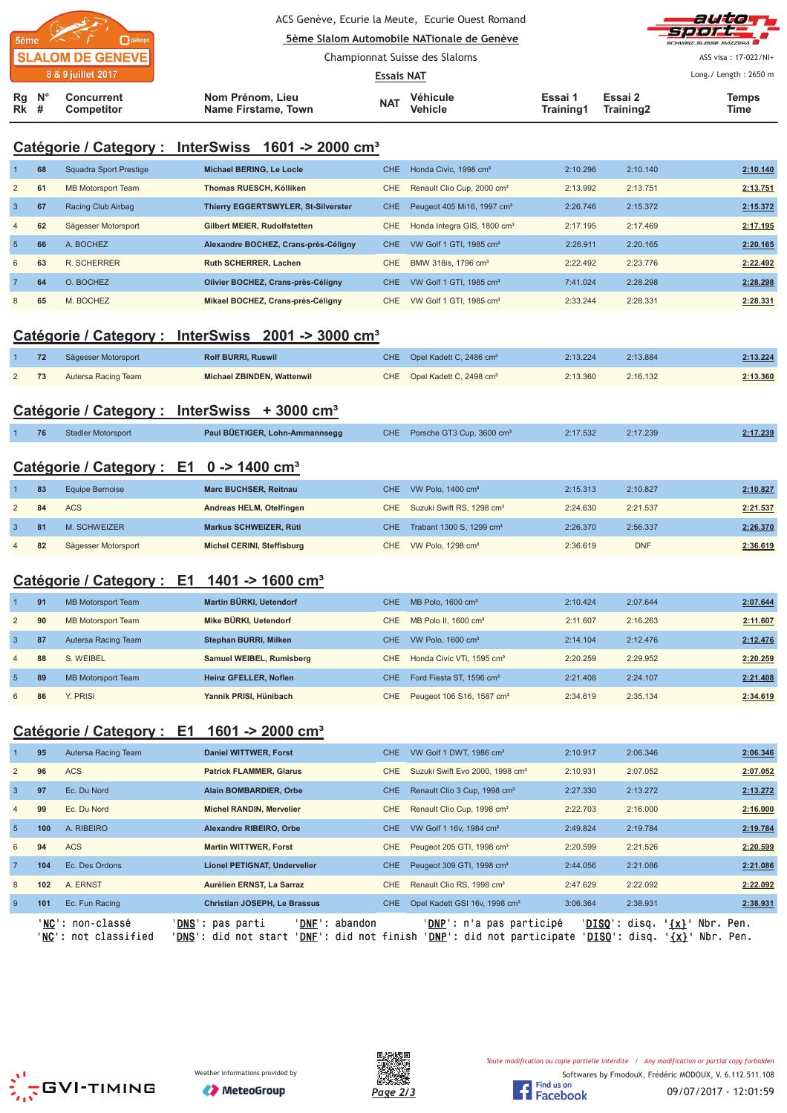|                            |  |                                 |                                         |                                | ACS Genève, Ecurie la Meute, Ecurie Ouest Romand<br>5ème Slalom Automobile NATionale de Genève |                      |                      | auto T<br><b>Sport T</b><br>SCHWEIZ SUISSE SVIZZEDA |
|----------------------------|--|---------------------------------|-----------------------------------------|--------------------------------|------------------------------------------------------------------------------------------------|----------------------|----------------------|-----------------------------------------------------|
| <b>SLALOM DE GENEVE</b>    |  |                                 |                                         | Championnat Suisse des Slaloms |                                                                                                |                      |                      | ASS visa: 17-022/NI+                                |
| 8 & 9 juillet 2017         |  |                                 |                                         | <b>Essais NAT</b>              |                                                                                                |                      |                      | Long./ Length: 2650 m                               |
| $Rg$ $N^{\circ}$<br>$Rk$ # |  | <b>Concurrent</b><br>Competitor | Nom Prénom, Lieu<br>Name Firstame, Town | <b>NAT</b>                     | Véhicule<br><b>Vehicle</b>                                                                     | Essai 1<br>Training1 | Essai 2<br>Training2 | <b>Temps</b><br>Time                                |

# **Catégorie / Category : InterSwiss 1601 -> 2000 cm³**

|                 | 68 | Squadra Sport Prestige    | Michael BERING, Le Locle             | CHE. | Honda Civic, 1998 cm <sup>3</sup>       | 2:10.296 | 2:10.140 | 2:10.140 |
|-----------------|----|---------------------------|--------------------------------------|------|-----------------------------------------|----------|----------|----------|
| $\overline{2}$  | 61 | <b>MB Motorsport Team</b> | Thomas RUESCH, Kölliken              | CHE. | Renault Clio Cup, 2000 cm <sup>3</sup>  | 2:13.992 | 2:13.751 | 2:13.751 |
| 3               | 67 | Racing Club Airbag        | Thierry EGGERTSWYLER, St-Silverster  | CHE. | Peugeot 405 Mi16, 1997 cm <sup>3</sup>  | 2:26.746 | 2:15.372 | 2:15.372 |
| $\overline{4}$  | 62 | Sägesser Motorsport       | Gilbert MEIER, Rudolfstetten         | CHE. | Honda Integra GIS, 1800 cm <sup>3</sup> | 2:17.195 | 2:17.469 | 2:17.195 |
| $5\overline{5}$ | 66 | A. BOCHEZ                 | Alexandre BOCHEZ, Crans-près-Céligny | CHE. | VW Golf 1 GTI, 1985 cm <sup>3</sup>     | 2:26.911 | 2:20.165 | 2:20.165 |
| 6               | 63 | R. SCHERRER               | <b>Ruth SCHERRER, Lachen</b>         | CHE. | BMW 318is, 1796 cm <sup>3</sup>         | 2:22.492 | 2:23.776 | 2:22.492 |
|                 | 64 | O. BOCHEZ                 | Olivier BOCHEZ, Crans-près-Céligny   | CHE. | VW Golf 1 GTI, 1985 cm <sup>3</sup>     | 7:41.024 | 2:28.298 | 2:28.298 |
| 8               | 65 | M. BOCHEZ                 | Mikael BOCHEZ, Crans-près-Céligny    | CHE. | VW Golf 1 GTI, 1985 cm <sup>3</sup>     | 2:33.244 | 2:28.331 | 2:28.331 |

### **Catégorie / Category : InterSwiss 2001 -> 3000 cm³**

| 72 | Sägesser Motorsport | <b>Rolf BURRI, Ruswil</b>  | CHE Opel Kadett C, 2486 cm <sup>3</sup> | 2:13.224 | 2:13.884 | 2:13.224 |
|----|---------------------|----------------------------|-----------------------------------------|----------|----------|----------|
| 73 | Autersa Racing Team | Michael ZBINDEN, Wattenwil | CHE Opel Kadett C, 2498 cm <sup>3</sup> | 2:13.360 | 2:16.132 | 2:13.360 |

# **Catégorie / Category : InterSwiss + 3000 cm³**

|  | Stadler Motorsport | Paul BÜETIGER, Lohn-Ammannsegg | CHE Porsche GT3 Cup, 3600 cm <sup>3</sup> | 2:17.532 | 2:17.239 | 2:17.239 |
|--|--------------------|--------------------------------|-------------------------------------------|----------|----------|----------|
|  |                    |                                |                                           |          |          |          |

### **Catégorie / Category : E1 0 -> 1400 cm³**

|                | 83 | Equipe Bernoise     | <b>Marc BUCHSER, Reitnau</b> | CHE VW Polo, 1400 cm <sup>3</sup>         | 2:15.313 | 2:10.827   | 2:10.827 |
|----------------|----|---------------------|------------------------------|-------------------------------------------|----------|------------|----------|
|                | 84 | <b>ACS</b>          | Andreas HELM, Otelfingen     | CHE Suzuki Swift RS, 1298 cm <sup>3</sup> | 2:24.630 | 2:21.537   | 2:21.537 |
|                | 81 | M. SCHWEIZER        | Markus SCHWEIZER, Rüti       | CHE Trabant 1300 S, 1299 cm <sup>3</sup>  | 2:26.370 | 2:56.337   | 2:26.370 |
| $\overline{4}$ | 82 | Sägesser Motorsport | Michel CERINI, Steffisburg   | CHE VW Polo, 1298 cm <sup>3</sup>         | 2:36.619 | <b>DNF</b> | 2:36.619 |

### **Catégorie / Category : E1 1401 -> 1600 cm³**

|                | 91 | <b>MB Motorsport Team</b> | Martin BÜRKI, Uetendorf      | CHE.             | MB Polo, 1600 cm <sup>3</sup>             | 2:10.424 | 2:07.644 | 2:07.644 |
|----------------|----|---------------------------|------------------------------|------------------|-------------------------------------------|----------|----------|----------|
| 2              | 90 | <b>MB Motorsport Team</b> | Mike BÜRKI, Uetendorf        | CHE              | MB Polo II, 1600 cm <sup>3</sup>          | 2:11.607 | 2:16.263 | 2:11.607 |
| 3              | 87 | Autersa Racing Team       | Stephan BURRI, Milken        | CHE.             | VW Polo, $1600 \text{ cm}^3$              | 2:14.104 | 2:12.476 | 2:12.476 |
| $\overline{4}$ | 88 | S. WEIBEL                 | Samuel WEIBEL, Rumisberg     | CHE              | Honda Civic VTi, 1595 cm <sup>3</sup>     | 2:20.259 | 2:29.952 | 2:20.259 |
| -5             | 89 | <b>MB Motorsport Team</b> | <b>Heinz GFELLER, Noflen</b> | CHE <sup>®</sup> | Ford Fiesta ST, 1596 cm <sup>3</sup>      | 2:21.408 | 2:24.107 | 2:21.408 |
| 6              | 86 | PRISI                     | Yannik PRISI, Hünibach       |                  | CHE Peugeot 106 S16, 1587 cm <sup>3</sup> | 2:34.619 | 2:35.134 | 2:34.619 |

## **Catégorie / Category : E1 1601 -> 2000 cm³**

|                | 95  | Autersa Racing Team                               | <b>Daniel WITTWER, Forst</b>                                                                                  | CHE.       | VW Golf 1 DWT, 1986 cm <sup>3</sup>                                      | 2:10.917                          | 2:06.346                            | 2:06.346          |
|----------------|-----|---------------------------------------------------|---------------------------------------------------------------------------------------------------------------|------------|--------------------------------------------------------------------------|-----------------------------------|-------------------------------------|-------------------|
| 2              | 96  | <b>ACS</b>                                        | <b>Patrick FLAMMER, Glarus</b>                                                                                | CHE.       | Suzuki Swift Evo 2000, 1998 cm <sup>3</sup>                              | 2:10.931                          | 2:07.052                            | 2:07.052          |
| $\overline{3}$ | 97  | Ec. Du Nord                                       | Alain BOMBARDIER, Orbe                                                                                        | CHE.       | Renault Clio 3 Cup, 1998 cm <sup>3</sup>                                 | 2:27.330                          | 2:13.272                            | 2:13.272          |
| $\overline{4}$ | 99  | Ec. Du Nord                                       | <b>Michel RANDIN, Mervelier</b>                                                                               | CHE        | Renault Clio Cup, 1998 cm <sup>3</sup>                                   | 2:22.703                          | 2:16.000                            | 2:16.000          |
| $5^{\circ}$    | 100 | A. RIBEIRO                                        | Alexandre RIBEIRO, Orbe                                                                                       | <b>CHE</b> | VW Golf 1 16v, 1984 cm <sup>3</sup>                                      | 2:49.824                          | 2:19.784                            | 2:19.784          |
| 6              | 94  | <b>ACS</b>                                        | <b>Martin WITTWER, Forst</b>                                                                                  | <b>CHE</b> | Peugeot 205 GTI, 1998 cm <sup>3</sup>                                    | 2:20.599                          | 2:21.526                            | 2:20.599          |
| $\overline{7}$ | 104 | Ec. Des Ordons                                    | <b>Lionel PETIGNAT, Undervelier</b>                                                                           | <b>CHE</b> | Peugeot 309 GTI, 1998 cm <sup>3</sup>                                    | 2:44.056                          | 2:21.086                            | 2:21.086          |
| 8              | 102 | A. ERNST                                          | Aurélien ERNST, La Sarraz                                                                                     | CHE        | Renault Clio RS, 1998 cm <sup>3</sup>                                    | 2:47.629                          | 2:22.092                            | 2:22.092          |
| 9              | 101 | Ec. Fun Racing                                    | <b>Christian JOSEPH, Le Brassus</b>                                                                           | <b>CHE</b> | Opel Kadett GSI 16v, 1998 cm <sup>3</sup>                                | 3:06.364                          | 2:38.931                            | 2:38.931          |
|                |     | ' <b>NC</b> ': non-classé<br>'NC': not classified | 'DNF': abandon<br>' <b>DNS</b> ': pas parti<br>' <b>DNS':</b> did not start<br>' <b>DNF</b> ': did not finish |            | ' <b>DNP</b> ': n'a pas participé<br>' <b>DNP</b> ': did not participate | ' <b>DISO</b> ': disq.<br>'DISQ': | $\{x\}$<br>Nbr.<br>$\{x\}$<br>disq. | Pen.<br>Nbr. Pen. |





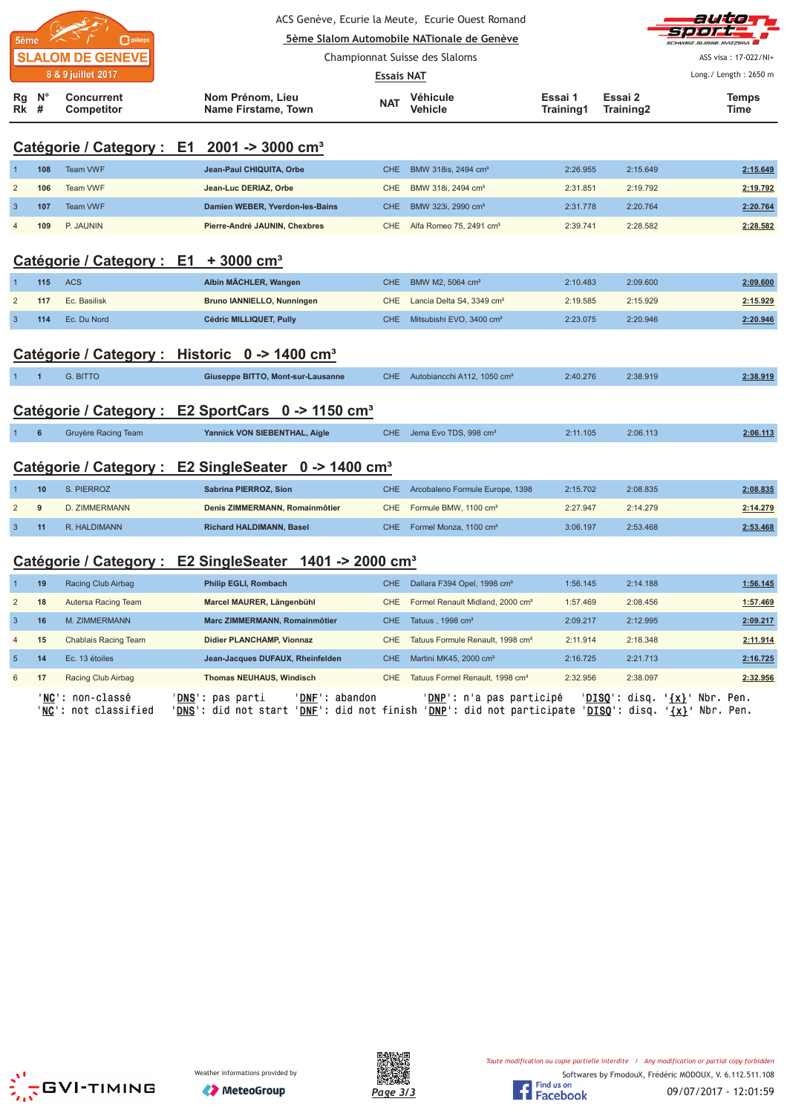| ACS Genève, Ecurie la Meute, Ecurie Ouest Romand<br>5ème Slalom Automobile NATionale de Genève<br>palexpo<br>5ème |                  |                                                        |                                                                     |                   |                                              |                      |                      |                       |
|-------------------------------------------------------------------------------------------------------------------|------------------|--------------------------------------------------------|---------------------------------------------------------------------|-------------------|----------------------------------------------|----------------------|----------------------|-----------------------|
|                                                                                                                   |                  | <b>SLALOM DE GENEVE</b>                                |                                                                     |                   | Championnat Suisse des Slaloms               |                      |                      | ASS visa: 17-022/NI+  |
|                                                                                                                   |                  | 8 & 9 juillet 2017                                     |                                                                     | <b>Essais NAT</b> |                                              |                      |                      | Long./ Length: 2650 m |
| Rg<br>Rk                                                                                                          | $N^{\circ}$<br># | <b>Concurrent</b><br>Competitor                        | Nom Prénom, Lieu<br>Name Firstame, Town                             | <b>NAT</b>        | Véhicule<br>Vehicle                          | Essai 1<br>Training1 | Essai 2<br>Training2 | <b>Temps</b><br>Time  |
|                                                                                                                   |                  | Catégorie / Category : E1 2001 -> 3000 cm <sup>3</sup> |                                                                     |                   |                                              |                      |                      |                       |
|                                                                                                                   | 108              | <b>Team VWF</b>                                        | Jean-Paul CHIQUITA, Orbe                                            | <b>CHE</b>        | BMW 318is, 2494 cm <sup>3</sup>              | 2:26.955             | 2:15.649             | 2:15.649              |
| $\overline{2}$                                                                                                    | 106              | Team VWF                                               | Jean-Luc DERIAZ, Orbe                                               | CHE               | BMW 318i, 2494 cm <sup>3</sup>               | 2:31.851             | 2:19.792             | 2:19.792              |
| $\mathbf{3}$                                                                                                      | 107              | <b>Team VWF</b>                                        | Damien WEBER, Yverdon-les-Bains                                     | <b>CHE</b>        | BMW 323i, 2990 cm <sup>3</sup>               | 2:31.778             | 2:20.764             | 2:20.764              |
| $\overline{4}$                                                                                                    | 109              | P. JAUNIN                                              | Pierre-André JAUNIN, Chexbres                                       | <b>CHE</b>        | Alfa Romeo 75, 2491 cm <sup>3</sup>          | 2:39.741             | 2:28.582             | 2:28.582              |
|                                                                                                                   |                  | Catégorie / Category : E1 + 3000 cm <sup>3</sup>       |                                                                     |                   |                                              |                      |                      |                       |
| $\overline{1}$                                                                                                    | 115              | <b>ACS</b>                                             | Albin MÄCHLER, Wangen                                               | <b>CHE</b>        | BMW M2, 5064 cm <sup>3</sup>                 | 2:10.483             | 2:09.600             | 2:09.600              |
| $\overline{2}$                                                                                                    | 117              | Ec. Basilisk                                           | Bruno IANNIELLO, Nunningen                                          | CHE               | Lancia Delta S4, 3349 cm <sup>3</sup>        | 2:19.585             | 2:15.929             | 2:15.929              |
| $\overline{3}$                                                                                                    | 114              | Ec. Du Nord                                            | Cédric MILLIQUET, Pully                                             | <b>CHE</b>        | Mitsubishi EVO, 3400 cm <sup>3</sup>         | 2:23.075             | 2:20.946             | 2:20.946              |
|                                                                                                                   |                  |                                                        | Catégorie / Category : Historic 0 -> 1400 cm <sup>3</sup>           |                   |                                              |                      |                      |                       |
|                                                                                                                   | $\overline{1}$   | <b>G. BITTO</b>                                        | Giuseppe BITTO, Mont-sur-Lausanne                                   | CHE.              | Autobiancchi A112, 1050 cm <sup>3</sup>      | 2:40.276             | 2:38.919             | 2:38.919              |
|                                                                                                                   |                  |                                                        | Catégorie / Category : E2 SportCars 0 -> 1150 cm <sup>3</sup>       |                   |                                              |                      |                      |                       |
| $1 -$                                                                                                             | $6\phantom{1}6$  | Gruyère Racing Team                                    | Yannick VON SIEBENTHAL, Aigle                                       | CHE               | Jema Evo TDS, 998 cm <sup>3</sup>            | 2:11.105             | 2:06.113             | 2:06.113              |
|                                                                                                                   |                  |                                                        | Catégorie / Category : E2 SingleSeater 0 -> 1400 cm <sup>3</sup>    |                   |                                              |                      |                      |                       |
| -1                                                                                                                | 10               | S. PIERROZ                                             | Sabrina PIERROZ, Sion                                               | <b>CHE</b>        | Arcobaleno Formule Europe, 1398              | 2:15.702             | 2:08.835             | 2:08.835              |
| $\overline{\mathbf{c}}$                                                                                           | 9                | D. ZIMMERMANN                                          | Denis ZIMMERMANN, Romainmôtier                                      | <b>CHE</b>        | Formule BMW, 1100 cm <sup>3</sup>            | 2:27.947             | 2:14.279             | 2:14.279              |
| $\overline{3}$                                                                                                    | 11               | R. HALDIMANN                                           | <b>Richard HALDIMANN, Basel</b>                                     | CHE               | Formel Monza, 1100 cm <sup>3</sup>           | 3:06.197             | 2:53.468             | 2:53.468              |
|                                                                                                                   |                  |                                                        | Catégorie / Category : E2 SingleSeater 1401 -> 2000 cm <sup>3</sup> |                   |                                              |                      |                      |                       |
| $\mathbf{1}$                                                                                                      | 19               | Racing Club Airbag                                     | Philip EGLI, Rombach                                                | <b>CHE</b>        | Dallara F394 Opel, 1998 cm <sup>3</sup>      | 1:56.145             | 2:14.188             | 1:56.145              |
| $\overline{c}$                                                                                                    | 18               | Autersa Racing Team                                    | Marcel MAURER, Längenbühl                                           | CHE               | Formel Renault Midland, 2000 cm <sup>3</sup> | 1:57.469             | 2:08.456             | 1:57.469              |
| $\mathbf{3}$                                                                                                      | 16               | M. ZIMMERMANN                                          | Marc ZIMMERMANN, Romainmôtier                                       | <b>CHE</b>        | Tatuus, 1998 cm <sup>3</sup>                 | 2:09.217             | 2:12.995             | 2:09.217              |
| $\overline{4}$                                                                                                    | 15               | Chablais Racing Team                                   | Didier PLANCHAMP, Vionnaz                                           | CHE               | Tatuus Formule Renault, 1998 cm <sup>3</sup> | 2:11.914             | 2:18.348             | 2:11.914              |
| $5\phantom{.0}$                                                                                                   | 14               | Ec. 13 étoiles                                         | Jean-Jacques DUFAUX, Rheinfelden                                    | CHE               | Martini MK45, 2000 cm <sup>3</sup>           | 2:16.725             | 2:21.713             | 2:16.725              |







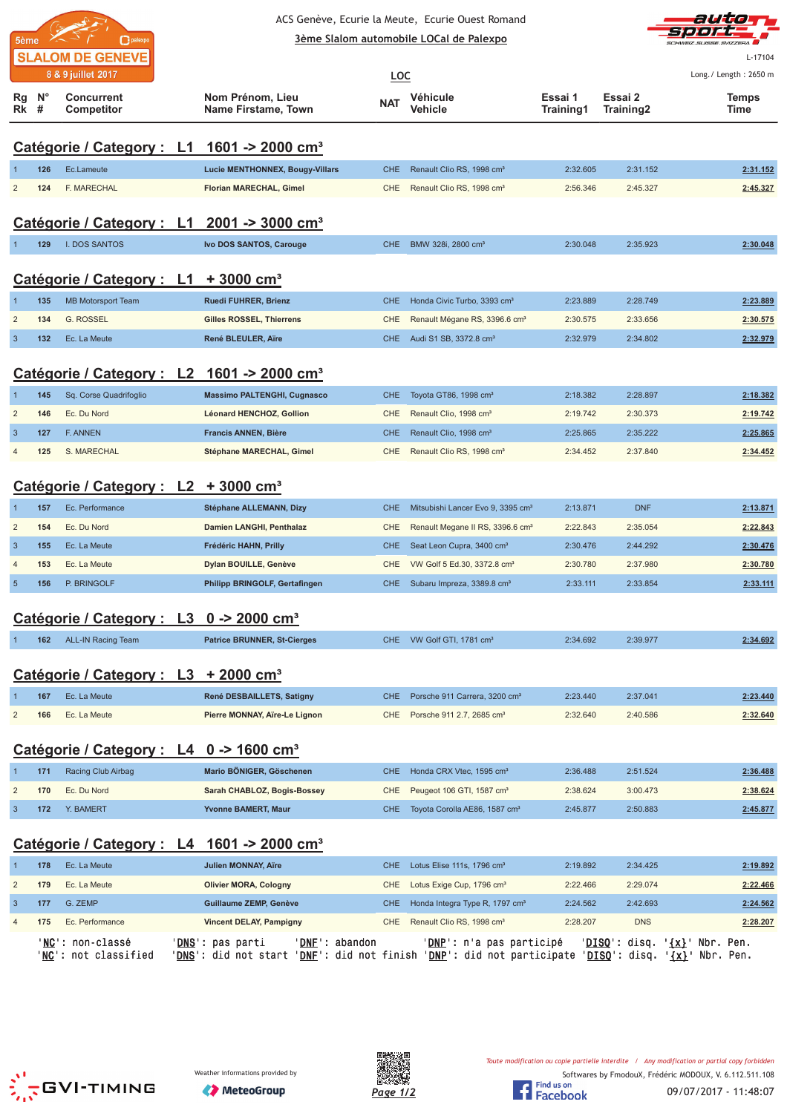| palexpo<br>5ème         |  |  |  |  |  |  |  |  |
|-------------------------|--|--|--|--|--|--|--|--|
| <b>SLALOM DE GENEVE</b> |  |  |  |  |  |  |  |  |
| 8 & 9 juillet 2017      |  |  |  |  |  |  |  |  |

### ACS Genève, Ecurie la Meute, Ecurie Ouest Romand <u>**<u>3ème Slalom automobile LOCal de Palexpo</u>**</u>



L-17104

|                                                        |             | <b>JLALUM DE GENEVE</b><br>8 & 9 juillet 2017          |                                                                                                                                                    |            |                                               |                      |                      | L-17104<br>Long./ Length: 2650 m |  |
|--------------------------------------------------------|-------------|--------------------------------------------------------|----------------------------------------------------------------------------------------------------------------------------------------------------|------------|-----------------------------------------------|----------------------|----------------------|----------------------------------|--|
|                                                        |             |                                                        |                                                                                                                                                    | <b>LOC</b> |                                               |                      |                      |                                  |  |
| Rg<br>Rk #                                             | $N^{\circ}$ | <b>Concurrent</b><br>Competitor                        | Nom Prénom, Lieu<br>Name Firstame, Town                                                                                                            | <b>NAT</b> | Véhicule<br>Vehicle                           | Essai 1<br>Training1 | Essai 2<br>Training2 | Temps<br>Time                    |  |
|                                                        |             |                                                        |                                                                                                                                                    |            |                                               |                      |                      |                                  |  |
|                                                        |             | Catégorie / Category : L1                              | 1601 -> 2000 cm <sup>3</sup>                                                                                                                       |            |                                               |                      |                      |                                  |  |
| -1                                                     | 126         | Ec.Lameute                                             | <b>Lucie MENTHONNEX, Bougy-Villars</b>                                                                                                             | <b>CHE</b> | Renault Clio RS, 1998 cm <sup>3</sup>         | 2:32.605             | 2:31.152             | 2:31.152                         |  |
| $\overline{c}$                                         | 124         | F. MARECHAL                                            | Florian MARECHAL, Gimel                                                                                                                            | <b>CHE</b> | Renault Clio RS, 1998 cm <sup>3</sup>         | 2:56.346             | 2:45.327             | 2:45.327                         |  |
|                                                        |             |                                                        |                                                                                                                                                    |            |                                               |                      |                      |                                  |  |
|                                                        |             | Catégorie / Category : L1                              | $2001 - 3000$ cm <sup>3</sup>                                                                                                                      |            |                                               |                      |                      |                                  |  |
| $\mathbf 1$                                            | 129         | I. DOS SANTOS                                          | Ivo DOS SANTOS, Carouge                                                                                                                            | <b>CHE</b> | BMW 328i, 2800 cm <sup>3</sup>                | 2:30.048             | 2:35.923             | 2:30.048                         |  |
|                                                        |             |                                                        |                                                                                                                                                    |            |                                               |                      |                      |                                  |  |
|                                                        |             | Catégorie / Category : L1                              | $+3000$ cm <sup>3</sup>                                                                                                                            |            |                                               |                      |                      |                                  |  |
| $\mathbf 1$                                            | 135         | <b>MB Motorsport Team</b>                              | Ruedi FUHRER, Brienz                                                                                                                               | <b>CHE</b> | Honda Civic Turbo, 3393 cm <sup>3</sup>       | 2:23.889             | 2:28.749             | 2:23.889                         |  |
| $\overline{c}$                                         | 134         | <b>G. ROSSEL</b>                                       | Gilles ROSSEL, Thierrens                                                                                                                           | CHE        | Renault Mégane RS, 3396.6 cm <sup>3</sup>     | 2:30.575             | 2:33.656             | 2:30.575                         |  |
| $\mathbf{3}$                                           | 132         | Ec. La Meute                                           | René BLEULER, Aïre                                                                                                                                 | <b>CHE</b> | Audi S1 SB, 3372.8 cm <sup>3</sup>            | 2:32.979             | 2:34.802             | 2:32.979                         |  |
|                                                        |             | Catégorie / Category : L2 1601 -> 2000 cm <sup>3</sup> |                                                                                                                                                    |            |                                               |                      |                      |                                  |  |
|                                                        |             |                                                        |                                                                                                                                                    |            |                                               |                      |                      |                                  |  |
| $\mathbf{1}$                                           | 145         | Sq. Corse Quadrifoglio                                 | <b>Massimo PALTENGHI, Cugnasco</b>                                                                                                                 | <b>CHE</b> | Toyota GT86, 1998 cm <sup>3</sup>             | 2:18.382             | 2:28.897             | 2:18.382                         |  |
| $\overline{\mathbf{c}}$                                | 146         | Ec. Du Nord                                            | Léonard HENCHOZ, Gollion                                                                                                                           | <b>CHE</b> | Renault Clio, 1998 cm <sup>3</sup>            | 2:19.742             | 2:30.373             | 2:19.742                         |  |
| $\mathbf{3}$                                           | 127         | F. ANNEN                                               | Francis ANNEN, Bière                                                                                                                               | <b>CHE</b> | Renault Clio, 1998 cm <sup>3</sup>            | 2:25.865             | 2:35.222             | 2:25.865                         |  |
| 4                                                      | 125         | S. MARECHAL                                            | Stéphane MARECHAL, Gimel                                                                                                                           | <b>CHE</b> | Renault Clio RS, 1998 cm <sup>3</sup>         | 2:34.452             | 2:37.840             | 2:34.452                         |  |
|                                                        |             | Catégorie / Category : L2 + 3000 cm <sup>3</sup>       |                                                                                                                                                    |            |                                               |                      |                      |                                  |  |
| 1                                                      | 157         | Ec. Performance                                        | Stéphane ALLEMANN, Dizy                                                                                                                            | <b>CHE</b> | Mitsubishi Lancer Evo 9, 3395 cm <sup>3</sup> | 2:13.871             | <b>DNF</b>           | 2:13.871                         |  |
| $\overline{\mathbf{c}}$                                | 154         | Ec. Du Nord                                            | Damien LANGHI, Penthalaz                                                                                                                           | CHE        | Renault Megane II RS, 3396.6 cm <sup>3</sup>  | 2:22.843             | 2:35.054             | 2:22.843                         |  |
| $\mathbf{3}$                                           | 155         | Ec. La Meute                                           | Frédéric HAHN, Prilly                                                                                                                              | <b>CHE</b> | Seat Leon Cupra, 3400 cm <sup>3</sup>         | 2:30.476             | 2:44.292             | 2:30.476                         |  |
| $\overline{4}$                                         | 153         | Ec. La Meute                                           | Dylan BOUILLE, Genève                                                                                                                              | <b>CHE</b> | VW Golf 5 Ed.30, 3372.8 cm <sup>3</sup>       | 2:30.780             | 2:37.980             | 2:30.780                         |  |
| $\overline{5}$                                         | 156         | P. BRINGOLF                                            | Philipp BRINGOLF, Gertafingen                                                                                                                      | <b>CHE</b> | Subaru Impreza, 3389.8 cm <sup>3</sup>        | 2:33.111             | 2:33.854             | 2:33.111                         |  |
|                                                        |             |                                                        |                                                                                                                                                    |            |                                               |                      |                      |                                  |  |
|                                                        |             | Catégorie / Category : L3 0 -> 2000 cm <sup>3</sup>    |                                                                                                                                                    |            |                                               |                      |                      |                                  |  |
|                                                        | 162         | <b>ALL-IN Racing Team</b>                              | <b>Patrice BRUNNER, St-Cierges</b>                                                                                                                 | CHE.       | VW Golf GTI, 1781 cm <sup>3</sup>             | 2:34.692             | 2:39.977             | 2:34.692                         |  |
|                                                        |             |                                                        |                                                                                                                                                    |            |                                               |                      |                      |                                  |  |
|                                                        |             | Catégorie / Category : L3 + 2000 cm <sup>3</sup>       |                                                                                                                                                    |            |                                               |                      |                      |                                  |  |
| 1                                                      | 167         | Ec. La Meute                                           | René DESBAILLETS, Satigny                                                                                                                          | CHE        | Porsche 911 Carrera, 3200 cm <sup>3</sup>     | 2:23.440             | 2:37.041             | 2:23.440                         |  |
| $\overline{\mathbf{c}}$                                | 166         | Ec. La Meute                                           | Pierre MONNAY, Aïre-Le Lignon                                                                                                                      | CHE        | Porsche 911 2.7, 2685 cm <sup>3</sup>         | 2:32.640             | 2:40.586             | 2:32.640                         |  |
|                                                        |             |                                                        |                                                                                                                                                    |            |                                               |                      |                      |                                  |  |
|                                                        |             | Catégorie / Category : L4 0 -> 1600 cm <sup>3</sup>    |                                                                                                                                                    |            |                                               |                      |                      |                                  |  |
| $\mathbf{1}$                                           | 171         | Racing Club Airbag                                     | Mario BÖNIGER, Göschenen                                                                                                                           | <b>CHE</b> | Honda CRX Vtec, 1595 cm <sup>3</sup>          | 2:36.488             | 2:51.524             | 2:36.488                         |  |
| $\overline{\mathbf{c}}$                                | 170         | Ec. Du Nord                                            | Sarah CHABLOZ, Bogis-Bossey                                                                                                                        | CHE        | Peugeot 106 GTI, 1587 cm <sup>3</sup>         | 2:38.624             | 3:00.473             | 2:38.624                         |  |
| $\mathbf{3}$                                           | 172         | Y. BAMERT                                              | Yvonne BAMERT, Maur                                                                                                                                | <b>CHE</b> | Toyota Corolla AE86, 1587 cm <sup>3</sup>     | 2:45.877             | 2:50.883             | 2:45.877                         |  |
|                                                        |             |                                                        |                                                                                                                                                    |            |                                               |                      |                      |                                  |  |
| Catégorie / Category : L4 1601 -> 2000 cm <sup>3</sup> |             |                                                        |                                                                                                                                                    |            |                                               |                      |                      |                                  |  |
| $\mathbf{1}$                                           | 178         | Ec. La Meute                                           | <b>Julien MONNAY, Aïre</b>                                                                                                                         | CHE        | Lotus Elise 111s, 1796 cm <sup>3</sup>        | 2:19.892             | 2:34.425             | 2:19.892                         |  |
| $\overline{\mathbf{c}}$                                | 179         | Ec. La Meute                                           | <b>Olivier MORA, Cologny</b>                                                                                                                       | CHE        | Lotus Exige Cup, 1796 cm <sup>3</sup>         | 2:22.466             | 2:29.074             | 2:22.466                         |  |
| $\mathbf{3}$                                           | 177         | G. ZEMP                                                | Guillaume ZEMP, Genève                                                                                                                             | <b>CHE</b> | Honda Integra Type R, 1797 cm <sup>3</sup>    | 2:24.562             | 2:42.693             | 2:24.562                         |  |
| 4                                                      | 175         | Ec. Performance                                        | <b>Vincent DELAY, Pampigny</b>                                                                                                                     | CHE.       | Renault Clio RS, 1998 cm <sup>3</sup>         | 2:28.207             | <b>DNS</b>           | 2:28.207                         |  |
|                                                        |             | 'NC': non-classé<br>'NC': not classified               | ' <u>DNS</u> ': pas parti<br>'DNE': abandon<br>'DNS': did not start 'DNE': did not finish 'DNP': did not participate 'DISQ': disq. '{x}' Nbr. Pen. |            | ' <u>DNP</u> ': n'a pas participé             |                      | 'DISQ': disq.        | ' <u>{x}</u> ' Nbr. Pen.         |  |
|                                                        |             |                                                        |                                                                                                                                                    |            |                                               |                      |                      |                                  |  |